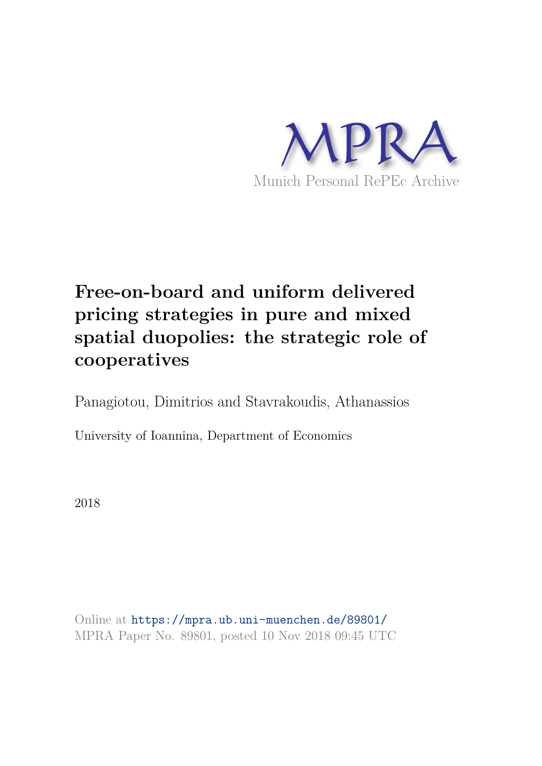

# **Free-on-board and uniform delivered pricing strategies in pure and mixed spatial duopolies: the strategic role of cooperatives**

Panagiotou, Dimitrios and Stavrakoudis, Athanassios

University of Ioannina, Department of Economics

2018

Online at https://mpra.ub.uni-muenchen.de/89801/ MPRA Paper No. 89801, posted 10 Nov 2018 09:45 UTC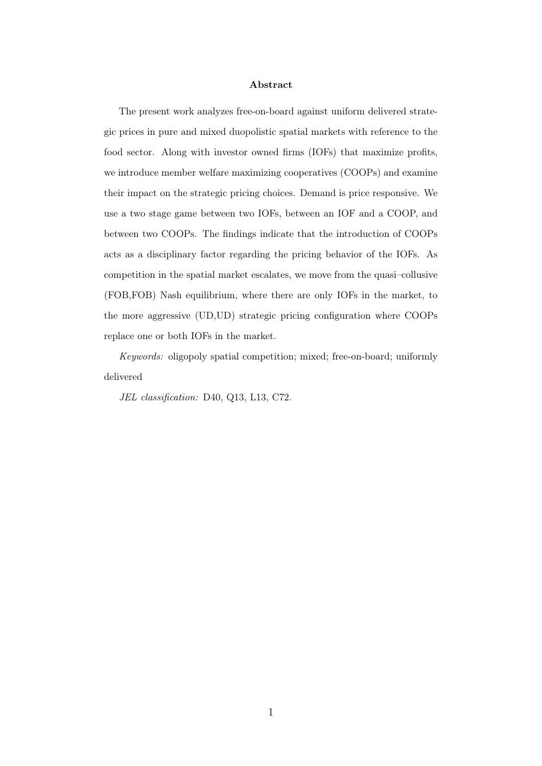#### Abstract

The present work analyzes free-on-board against uniform delivered strategic prices in pure and mixed duopolistic spatial markets with reference to the food sector. Along with investor owned firms (IOFs) that maximize profits, we introduce member welfare maximizing cooperatives (COOPs) and examine their impact on the strategic pricing choices. Demand is price responsive. We use a two stage game between two IOFs, between an IOF and a COOP, and between two COOPs. The findings indicate that the introduction of COOPs acts as a disciplinary factor regarding the pricing behavior of the IOFs. As competition in the spatial market escalates, we move from the quasi–collusive (FOB,FOB) Nash equilibrium, where there are only IOFs in the market, to the more aggressive (UD,UD) strategic pricing configuration where COOPs replace one or both IOFs in the market.

Keywords: oligopoly spatial competition; mixed; free-on-board; uniformly delivered

JEL classification: D40, Q13, L13, C72.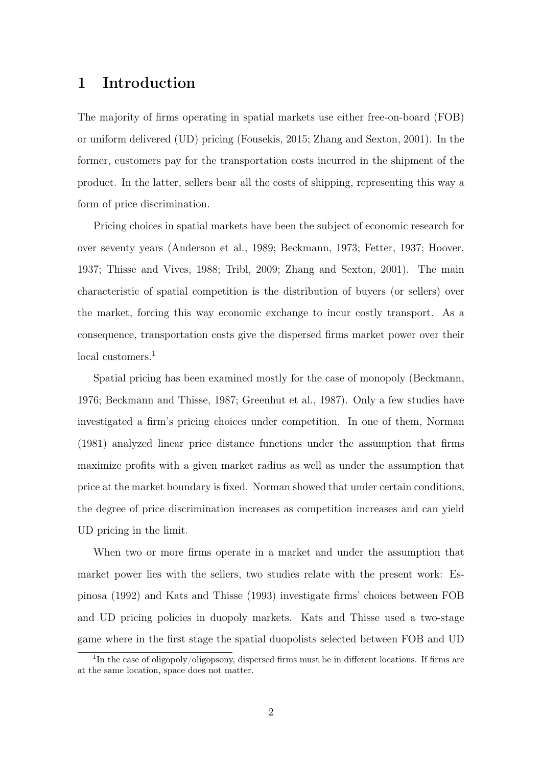## 1 Introduction

The majority of firms operating in spatial markets use either free-on-board (FOB) or uniform delivered (UD) pricing (Fousekis, 2015; Zhang and Sexton, 2001). In the former, customers pay for the transportation costs incurred in the shipment of the product. In the latter, sellers bear all the costs of shipping, representing this way a form of price discrimination.

Pricing choices in spatial markets have been the subject of economic research for over seventy years (Anderson et al., 1989; Beckmann, 1973; Fetter, 1937; Hoover, 1937; Thisse and Vives, 1988; Tribl, 2009; Zhang and Sexton, 2001). The main characteristic of spatial competition is the distribution of buyers (or sellers) over the market, forcing this way economic exchange to incur costly transport. As a consequence, transportation costs give the dispersed firms market power over their local customers.<sup>1</sup>

Spatial pricing has been examined mostly for the case of monopoly (Beckmann, 1976; Beckmann and Thisse, 1987; Greenhut et al., 1987). Only a few studies have investigated a firm's pricing choices under competition. In one of them, Norman (1981) analyzed linear price distance functions under the assumption that firms maximize profits with a given market radius as well as under the assumption that price at the market boundary is fixed. Norman showed that under certain conditions, the degree of price discrimination increases as competition increases and can yield UD pricing in the limit.

When two or more firms operate in a market and under the assumption that market power lies with the sellers, two studies relate with the present work: Espinosa (1992) and Kats and Thisse (1993) investigate firms' choices between FOB and UD pricing policies in duopoly markets. Kats and Thisse used a two-stage game where in the first stage the spatial duopolists selected between FOB and UD

<sup>&</sup>lt;sup>1</sup>In the case of oligopoly/oligopsony, dispersed firms must be in different locations. If firms are at the same location, space does not matter.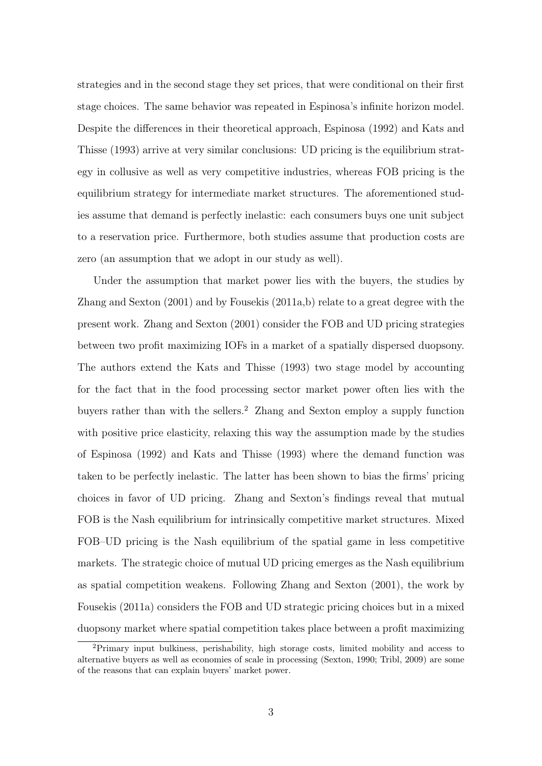strategies and in the second stage they set prices, that were conditional on their first stage choices. The same behavior was repeated in Espinosa's infinite horizon model. Despite the differences in their theoretical approach, Espinosa (1992) and Kats and Thisse (1993) arrive at very similar conclusions: UD pricing is the equilibrium strategy in collusive as well as very competitive industries, whereas FOB pricing is the equilibrium strategy for intermediate market structures. The aforementioned studies assume that demand is perfectly inelastic: each consumers buys one unit subject to a reservation price. Furthermore, both studies assume that production costs are zero (an assumption that we adopt in our study as well).

Under the assumption that market power lies with the buyers, the studies by Zhang and Sexton (2001) and by Fousekis (2011a,b) relate to a great degree with the present work. Zhang and Sexton (2001) consider the FOB and UD pricing strategies between two profit maximizing IOFs in a market of a spatially dispersed duopsony. The authors extend the Kats and Thisse (1993) two stage model by accounting for the fact that in the food processing sector market power often lies with the buyers rather than with the sellers.<sup>2</sup> Zhang and Sexton employ a supply function with positive price elasticity, relaxing this way the assumption made by the studies of Espinosa (1992) and Kats and Thisse (1993) where the demand function was taken to be perfectly inelastic. The latter has been shown to bias the firms' pricing choices in favor of UD pricing. Zhang and Sexton's findings reveal that mutual FOB is the Nash equilibrium for intrinsically competitive market structures. Mixed FOB–UD pricing is the Nash equilibrium of the spatial game in less competitive markets. The strategic choice of mutual UD pricing emerges as the Nash equilibrium as spatial competition weakens. Following Zhang and Sexton (2001), the work by Fousekis (2011a) considers the FOB and UD strategic pricing choices but in a mixed duopsony market where spatial competition takes place between a profit maximizing

<sup>2</sup>Primary input bulkiness, perishability, high storage costs, limited mobility and access to alternative buyers as well as economies of scale in processing (Sexton, 1990; Tribl, 2009) are some of the reasons that can explain buyers' market power.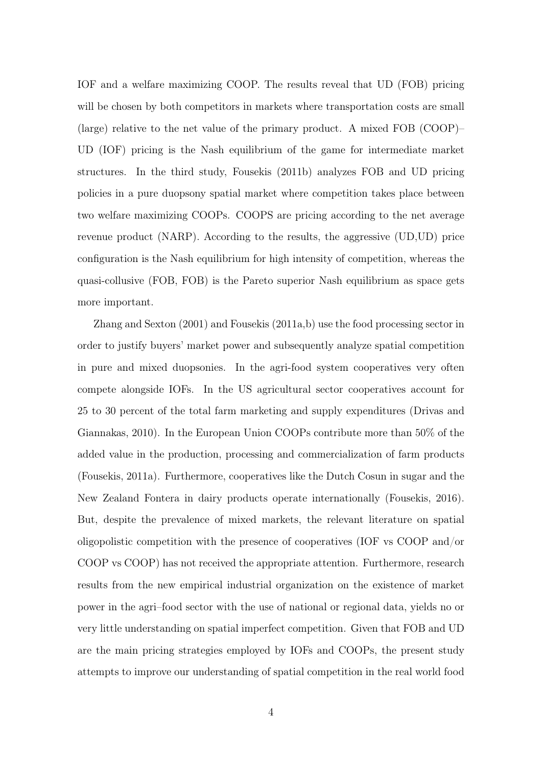IOF and a welfare maximizing COOP. The results reveal that UD (FOB) pricing will be chosen by both competitors in markets where transportation costs are small (large) relative to the net value of the primary product. A mixed FOB (COOP)– UD (IOF) pricing is the Nash equilibrium of the game for intermediate market structures. In the third study, Fousekis (2011b) analyzes FOB and UD pricing policies in a pure duopsony spatial market where competition takes place between two welfare maximizing COOPs. COOPS are pricing according to the net average revenue product (NARP). According to the results, the aggressive (UD,UD) price configuration is the Nash equilibrium for high intensity of competition, whereas the quasi-collusive (FOB, FOB) is the Pareto superior Nash equilibrium as space gets more important.

Zhang and Sexton (2001) and Fousekis (2011a,b) use the food processing sector in order to justify buyers' market power and subsequently analyze spatial competition in pure and mixed duopsonies. In the agri-food system cooperatives very often compete alongside IOFs. In the US agricultural sector cooperatives account for 25 to 30 percent of the total farm marketing and supply expenditures (Drivas and Giannakas, 2010). In the European Union COOPs contribute more than 50% of the added value in the production, processing and commercialization of farm products (Fousekis, 2011a). Furthermore, cooperatives like the Dutch Cosun in sugar and the New Zealand Fontera in dairy products operate internationally (Fousekis, 2016). But, despite the prevalence of mixed markets, the relevant literature on spatial oligopolistic competition with the presence of cooperatives (IOF vs COOP and/or COOP vs COOP) has not received the appropriate attention. Furthermore, research results from the new empirical industrial organization on the existence of market power in the agri–food sector with the use of national or regional data, yields no or very little understanding on spatial imperfect competition. Given that FOB and UD are the main pricing strategies employed by IOFs and COOPs, the present study attempts to improve our understanding of spatial competition in the real world food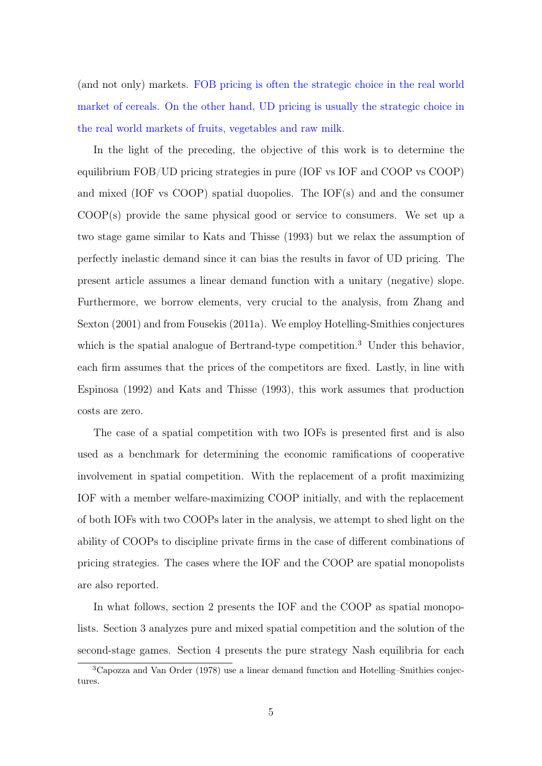(and not only) markets. FOB pricing is often the strategic choice in the real world market of cereals. On the other hand, UD pricing is usually the strategic choice in the real world markets of fruits, vegetables and raw milk.

In the light of the preceding, the objective of this work is to determine the equilibrium FOB/UD pricing strategies in pure (IOF vs IOF and COOP vs COOP) and mixed (IOF vs COOP) spatial duopolies. The IOF(s) and and the consumer COOP(s) provide the same physical good or service to consumers. We set up a two stage game similar to Kats and Thisse (1993) but we relax the assumption of perfectly inelastic demand since it can bias the results in favor of UD pricing. The present article assumes a linear demand function with a unitary (negative) slope. Furthermore, we borrow elements, very crucial to the analysis, from Zhang and Sexton (2001) and from Fousekis (2011a). We employ Hotelling-Smithies conjectures which is the spatial analogue of Bertrand-type competition.<sup>3</sup> Under this behavior, each firm assumes that the prices of the competitors are fixed. Lastly, in line with Espinosa (1992) and Kats and Thisse (1993), this work assumes that production costs are zero.

The case of a spatial competition with two IOFs is presented first and is also used as a benchmark for determining the economic ramifications of cooperative involvement in spatial competition. With the replacement of a profit maximizing IOF with a member welfare-maximizing COOP initially, and with the replacement of both IOFs with two COOPs later in the analysis, we attempt to shed light on the ability of COOPs to discipline private firms in the case of different combinations of pricing strategies. The cases where the IOF and the COOP are spatial monopolists are also reported.

In what follows, section 2 presents the IOF and the COOP as spatial monopolists. Section 3 analyzes pure and mixed spatial competition and the solution of the second-stage games. Section 4 presents the pure strategy Nash equilibria for each

<sup>3</sup>Capozza and Van Order (1978) use a linear demand function and Hotelling–Smithies conjectures.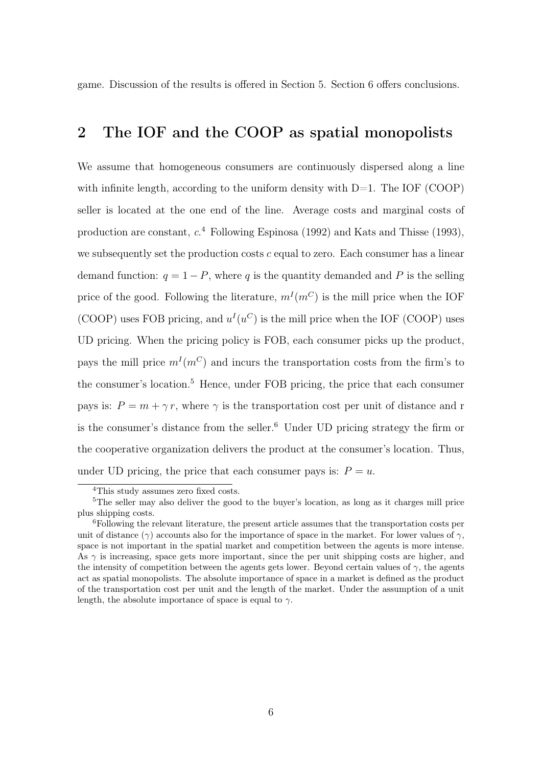game. Discussion of the results is offered in Section 5. Section 6 offers conclusions.

# 2 The IOF and the COOP as spatial monopolists

We assume that homogeneous consumers are continuously dispersed along a line with infinite length, according to the uniform density with  $D=1$ . The IOF (COOP) seller is located at the one end of the line. Average costs and marginal costs of production are constant,  $c^4$  Following Espinosa (1992) and Kats and Thisse (1993), we subsequently set the production costs  $c$  equal to zero. Each consumer has a linear demand function:  $q = 1 - P$ , where q is the quantity demanded and P is the selling price of the good. Following the literature,  $m^I(m^C)$  is the mill price when the IOF (COOP) uses FOB pricing, and  $u^I(u^C)$  is the mill price when the IOF (COOP) uses UD pricing. When the pricing policy is FOB, each consumer picks up the product, pays the mill price  $m^I(m^C)$  and incurs the transportation costs from the firm's to the consumer's location.<sup>5</sup> Hence, under FOB pricing, the price that each consumer pays is:  $P = m + \gamma r$ , where  $\gamma$  is the transportation cost per unit of distance and r is the consumer's distance from the seller.<sup>6</sup> Under UD pricing strategy the firm or the cooperative organization delivers the product at the consumer's location. Thus, under UD pricing, the price that each consumer pays is:  $P = u$ .

<sup>&</sup>lt;sup>4</sup>This study assumes zero fixed costs.

<sup>&</sup>lt;sup>5</sup>The seller may also deliver the good to the buyer's location, as long as it charges mill price plus shipping costs.

 $6$ Following the relevant literature, the present article assumes that the transportation costs per unit of distance ( $\gamma$ ) accounts also for the importance of space in the market. For lower values of  $\gamma$ , space is not important in the spatial market and competition between the agents is more intense. As  $\gamma$  is increasing, space gets more important, since the per unit shipping costs are higher, and the intensity of competition between the agents gets lower. Beyond certain values of  $\gamma$ , the agents act as spatial monopolists. The absolute importance of space in a market is defined as the product of the transportation cost per unit and the length of the market. Under the assumption of a unit length, the absolute importance of space is equal to  $\gamma$ .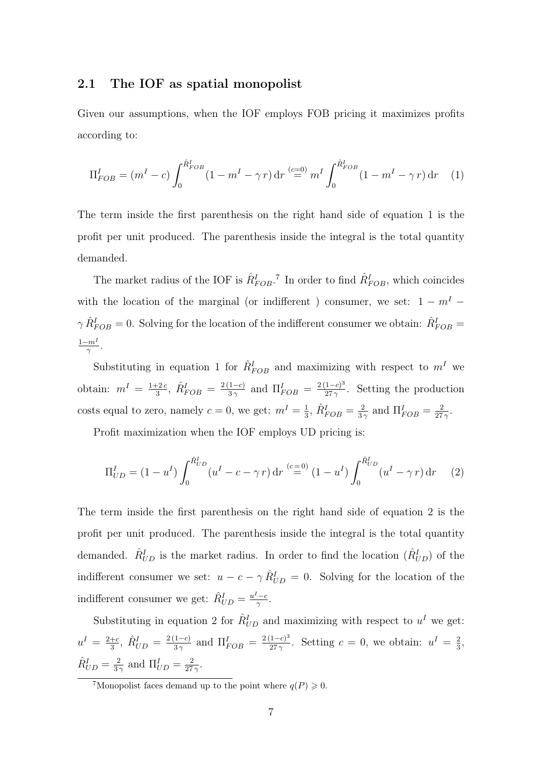#### 2.1 The IOF as spatial monopolist

Given our assumptions, when the IOF employs FOB pricing it maximizes profits according to:

$$
\Pi_{FOB}^I = (m^I - c) \int_0^{\hat{R}_{FOB}^I} (1 - m^I - \gamma r) dr \stackrel{(c=0)}{=} m^I \int_0^{\hat{R}_{FOB}^I} (1 - m^I - \gamma r) dr \tag{1}
$$

The term inside the first parenthesis on the right hand side of equation 1 is the profit per unit produced. The parenthesis inside the integral is the total quantity demanded.

The market radius of the IOF is  $\hat{R}^I_{FOB}$ .<sup>7</sup> In order to find  $\hat{R}^I_{FOB}$ , which coincides with the location of the marginal (or indifferent ) consumer, we set:  $1 - m<sup>I</sup>$  –  $\gamma \hat{R}^I_{FOB} = 0$ . Solving for the location of the indifferent consumer we obtain:  $\hat{R}^I_{FOB} = 0$  $1-m^I$  $\frac{m^I}{\gamma}$  .

Substituting in equation 1 for  $\hat{R}^I_{FOB}$  and maximizing with respect to  $m^I$  we obtain:  $m^I = \frac{1+2c}{3}$  $\frac{1}{3}$ <sup>2</sup>,  $\hat{R}_{FOB}^{I} = \frac{2(1-c)}{3\gamma}$  $\frac{(1-c)}{3\gamma}$  and  $\Pi_{FOB}^I = \frac{2(1-c)^3}{27\gamma}$  $\frac{1-c_1}{27\gamma}$ . Setting the production costs equal to zero, namely  $c = 0$ , we get:  $m<sup>I</sup> = \frac{1}{3}$  $\frac{1}{3}$ ,  $\hat{R}_{FOB}^I = \frac{2}{3}$  $\frac{2}{3\gamma}$  and  $\Pi_{FOB}^I = \frac{2}{27}$  $rac{2}{27\gamma}$ .

Profit maximization when the IOF employs UD pricing is:

$$
\Pi_{UD}^I = (1 - u^I) \int_0^{\hat{R}_{UD}^I} (u^I - c - \gamma r) dr \stackrel{(c=0)}{=} (1 - u^I) \int_0^{\hat{R}_{UD}^I} (u^I - \gamma r) dr \tag{2}
$$

The term inside the first parenthesis on the right hand side of equation 2 is the profit per unit produced. The parenthesis inside the integral is the total quantity demanded.  $\hat{R}_{UD}^I$  is the market radius. In order to find the location  $(\hat{R}_{UD}^I)$  of the indifferent consumer we set:  $u - c - \gamma \hat{R}_{UD}^I = 0$ . Solving for the location of the indifferent consumer we get:  $\hat{R}_{UD}^I = \frac{u^I - c}{\gamma}$  $\frac{c-c}{\gamma}$  .

Substituting in equation 2 for  $\hat{R}_{UD}^I$  and maximizing with respect to  $u^I$  we get:  $u^{I} = \frac{2+c}{3}$  $\frac{+c}{3}$ ,  $\hat{R}_{UD}^{I} = \frac{2(1-c)}{3\gamma}$  $\frac{(1-c)}{3\gamma}$  and  $\Pi_{FOB}^I = \frac{2(1-c)^3}{27\gamma}$  $\frac{1-c}{27\gamma}$ . Setting  $c=0$ , we obtain:  $u^I=\frac{2}{3}$  $\frac{2}{3}$ ,  $\hat{R}_{UD}^I=\frac{2}{3}$  $\frac{2}{3\gamma}$  and  $\Pi_{UD}^I = \frac{2}{27}$  $\frac{2}{27\gamma}$ .

<sup>&</sup>lt;sup>7</sup>Monopolist faces demand up to the point where  $q(P) \ge 0$ .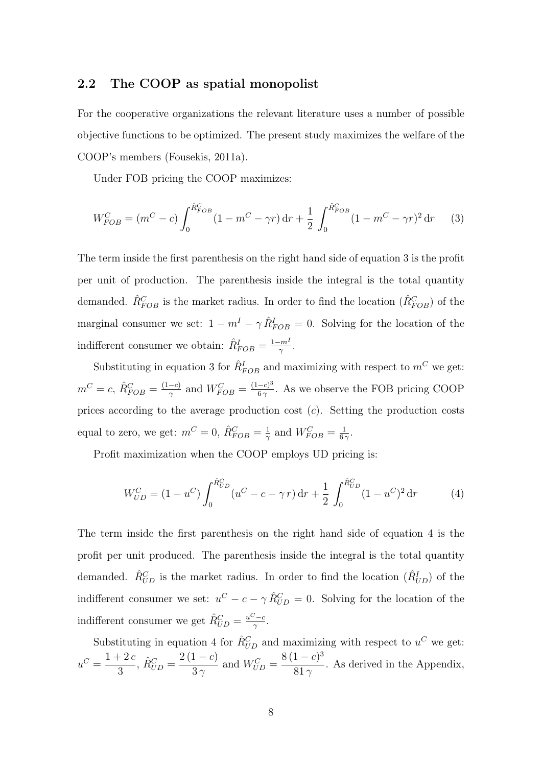#### 2.2 The COOP as spatial monopolist

For the cooperative organizations the relevant literature uses a number of possible objective functions to be optimized. The present study maximizes the welfare of the COOP's members (Fousekis, 2011a).

Under FOB pricing the COOP maximizes:

$$
W_{FOB}^C = (m^C - c) \int_0^{\hat{R}_{FOB}^C} (1 - m^C - \gamma r) dr + \frac{1}{2} \int_0^{\hat{R}_{FOB}^C} (1 - m^C - \gamma r)^2 dr \tag{3}
$$

The term inside the first parenthesis on the right hand side of equation 3 is the profit per unit of production. The parenthesis inside the integral is the total quantity demanded.  $\hat{R}_{FOB}^C$  is the market radius. In order to find the location  $(\hat{R}_{FOB}^C)$  of the marginal consumer we set:  $1 - m^I - \gamma \hat{R}_{FOB}^I = 0$ . Solving for the location of the indifferent consumer we obtain:  $\hat{R}_{FOB}^I = \frac{1 - m^I}{\gamma}$  $\frac{-m^1}{\gamma}$  .

Substituting in equation 3 for  $\hat{R}^I_{FOB}$  and maximizing with respect to  $m^C$  we get:  $m^C = c, \ \hat{R}_{FOB}^C = \frac{(1-c)}{\gamma}$  $\frac{-c}{\gamma}$  and  $W_{FOB}^C = \frac{(1-c)^3}{6\gamma}$  $\frac{-e_0}{6\gamma}$ . As we observe the FOB pricing COOP prices according to the average production cost  $(c)$ . Setting the production costs equal to zero, we get:  $m^C = 0$ ,  $\hat{R}_{FOB}^C = \frac{1}{2}$  $\frac{1}{\gamma}$  and  $W_{FOB}^C = \frac{1}{6\gamma}$  $\frac{1}{6\gamma}$ .

Profit maximization when the COOP employs UD pricing is:

$$
W_{UD}^C = (1 - u^C) \int_0^{\hat{R}_{UD}^C} (u^C - c - \gamma r) dr + \frac{1}{2} \int_0^{\hat{R}_{UD}^C} (1 - u^C)^2 dr \tag{4}
$$

The term inside the first parenthesis on the right hand side of equation 4 is the profit per unit produced. The parenthesis inside the integral is the total quantity demanded.  $\hat{R}_{UD}^C$  is the market radius. In order to find the location  $(\hat{R}_{UD}^I)$  of the indifferent consumer we set:  $u^C - c - \gamma \hat{R}_{UD}^C = 0$ . Solving for the location of the indifferent consumer we get  $\hat{R}_{UD}^C = \frac{u^C - c}{\gamma}$  $\frac{c-c}{\gamma}$  .

Substituting in equation 4 for  $\hat{R}_{UD}^C$  and maximizing with respect to  $u^C$  we get:  $u^C = \frac{1+2c}{2}$ 3 ,  $\hat{R}_{UD}^C = \frac{2(1-c)}{3\gamma}$  $3\gamma$ and  $W_{UD}^C = \frac{8(1-c)^3}{81}$  $\frac{1}{81 \gamma}$ . As derived in the Appendix,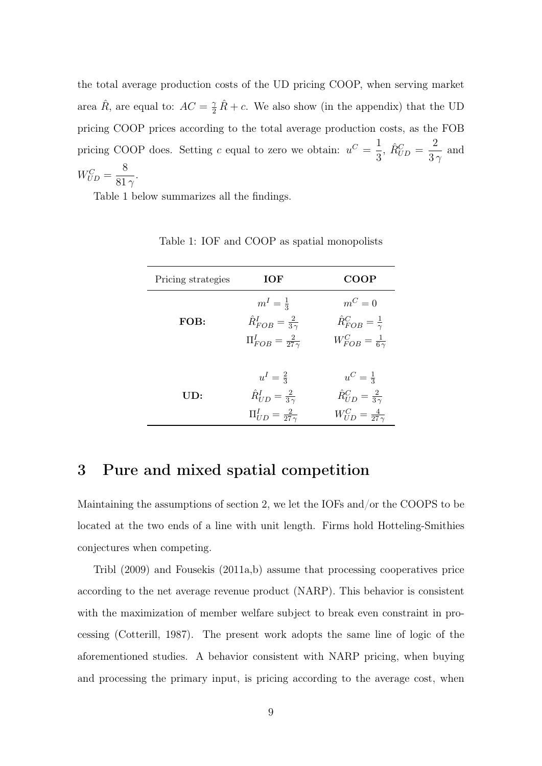the total average production costs of the UD pricing COOP, when serving market area  $\hat{R}$ , are equal to:  $AC = \frac{\gamma}{2}\hat{R} + c$ . We also show (in the appendix) that the UD pricing COOP prices according to the total average production costs, as the FOB pricing COOP does. Setting c equal to zero we obtain:  $u^C = \frac{1}{2}$ 3 ,  $\hat{R}_{UD}^C =$ 2  $\frac{2}{3\gamma}$  and  $W_{UD}^C =$ 8  $\frac{8}{81}$ .

Table 1 below summarizes all the findings.

| Pricing strategies | IOF                                                                                              | COOP                                                                                               |  |
|--------------------|--------------------------------------------------------------------------------------------------|----------------------------------------------------------------------------------------------------|--|
| FOB:               | $m^I=\frac{1}{3}$<br>$\hat{R}_{FOB}^I = \frac{2}{3\gamma}$<br>$\Pi_{FOB}^I = \frac{2}{27\gamma}$ | $m^C=0$<br>$\hat{R}_{FOB}^C = \frac{1}{\gamma}$<br>$W_{FOB}^C = \frac{1}{6\gamma}$                 |  |
| UD:                | $u^I=\frac{2}{3}$<br>$\hat{R}_{UD}^I = \frac{2}{3\gamma}$<br>$\Pi_{UD}^I = \frac{2}{27\gamma}$   | $u^C = \frac{1}{3}$<br>$\hat{R}_{UD}^C = \frac{2}{3\gamma}$<br>$W_{IID}^{C} = \frac{4}{27 \gamma}$ |  |

Table 1: IOF and COOP as spatial monopolists

# 3 Pure and mixed spatial competition

Maintaining the assumptions of section 2, we let the IOFs and/or the COOPS to be located at the two ends of a line with unit length. Firms hold Hotteling-Smithies conjectures when competing.

Tribl (2009) and Fousekis (2011a,b) assume that processing cooperatives price according to the net average revenue product (NARP). This behavior is consistent with the maximization of member welfare subject to break even constraint in processing (Cotterill, 1987). The present work adopts the same line of logic of the aforementioned studies. A behavior consistent with NARP pricing, when buying and processing the primary input, is pricing according to the average cost, when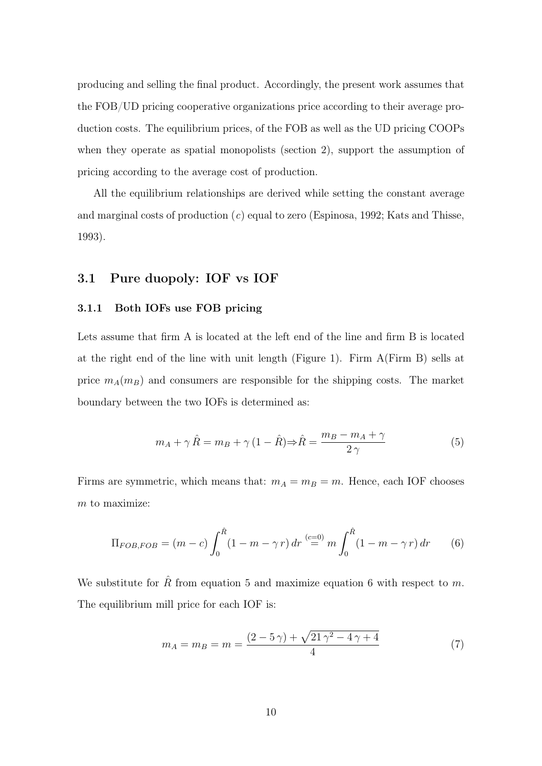producing and selling the final product. Accordingly, the present work assumes that the FOB/UD pricing cooperative organizations price according to their average production costs. The equilibrium prices, of the FOB as well as the UD pricing COOPs when they operate as spatial monopolists (section 2), support the assumption of pricing according to the average cost of production.

All the equilibrium relationships are derived while setting the constant average and marginal costs of production  $(c)$  equal to zero (Espinosa, 1992; Kats and Thisse, 1993).

#### 3.1 Pure duopoly: IOF vs IOF

#### 3.1.1 Both IOFs use FOB pricing

Lets assume that firm A is located at the left end of the line and firm B is located at the right end of the line with unit length (Figure 1). Firm A(Firm B) sells at price  $m_A(m_B)$  and consumers are responsible for the shipping costs. The market boundary between the two IOFs is determined as:

$$
m_A + \gamma \hat{R} = m_B + \gamma (1 - \hat{R}) \Rightarrow \hat{R} = \frac{m_B - m_A + \gamma}{2 \gamma}
$$
 (5)

Firms are symmetric, which means that:  $m_A = m_B = m$ . Hence, each IOF chooses  $m$  to maximize:

$$
\Pi_{FOB, FOB} = (m - c) \int_0^{\hat{R}} (1 - m - \gamma r) dr \stackrel{(c=0)}{=} m \int_0^{\hat{R}} (1 - m - \gamma r) dr \qquad (6)
$$

We substitute for  $\hat{R}$  from equation 5 and maximize equation 6 with respect to m. The equilibrium mill price for each IOF is:

$$
m_A = m_B = m = \frac{(2 - 5\gamma) + \sqrt{21\gamma^2 - 4\gamma + 4}}{4} \tag{7}
$$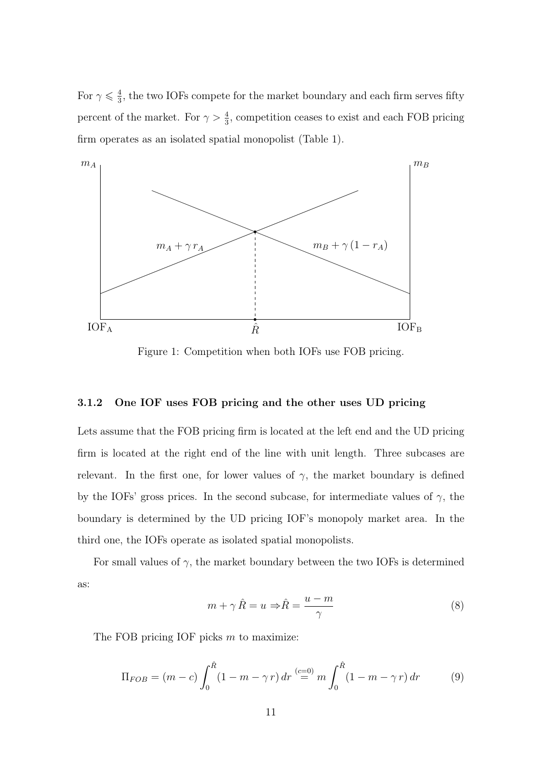For  $\gamma \leqslant \frac{4}{3}$  $\frac{4}{3}$ , the two IOFs compete for the market boundary and each firm serves fifty percent of the market. For  $\gamma > \frac{4}{3}$ , competition ceases to exist and each FOB pricing firm operates as an isolated spatial monopolist (Table 1).



Figure 1: Competition when both IOFs use FOB pricing.

#### 3.1.2 One IOF uses FOB pricing and the other uses UD pricing

Lets assume that the FOB pricing firm is located at the left end and the UD pricing firm is located at the right end of the line with unit length. Three subcases are relevant. In the first one, for lower values of  $\gamma$ , the market boundary is defined by the IOFs' gross prices. In the second subcase, for intermediate values of  $\gamma$ , the boundary is determined by the UD pricing IOF's monopoly market area. In the third one, the IOFs operate as isolated spatial monopolists.

For small values of  $\gamma$ , the market boundary between the two IOFs is determined as:

$$
m + \gamma \hat{R} = u \Rightarrow \hat{R} = \frac{u - m}{\gamma} \tag{8}
$$

The FOB pricing IOF picks  $m$  to maximize:

$$
\Pi_{FOB} = (m - c) \int_0^{\hat{R}} (1 - m - \gamma r) dr \stackrel{(c=0)}{=} m \int_0^{\hat{R}} (1 - m - \gamma r) dr \tag{9}
$$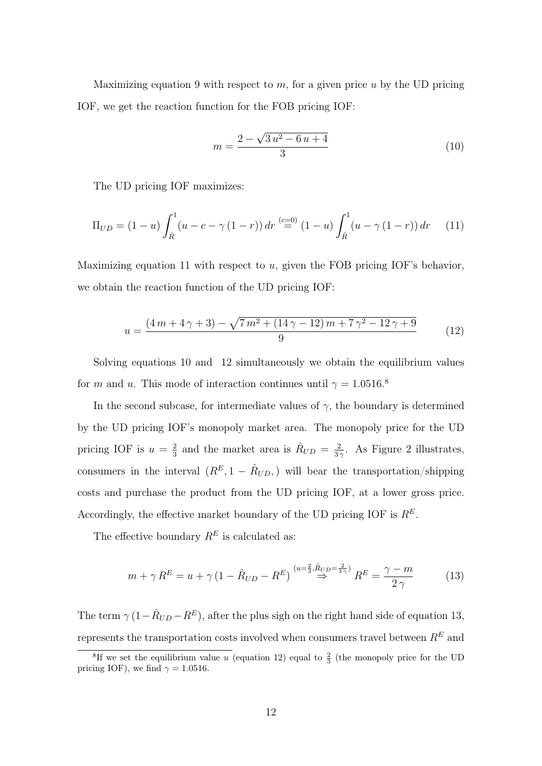Maximizing equation 9 with respect to  $m$ , for a given price  $u$  by the UD pricing IOF, we get the reaction function for the FOB pricing IOF:

$$
m = \frac{2 - \sqrt{3u^2 - 6u + 4}}{3} \tag{10}
$$

The UD pricing IOF maximizes:

$$
\Pi_{UD} = (1 - u) \int_{\hat{R}}^{1} (u - c - \gamma (1 - r)) dr \stackrel{(c=0)}{=} (1 - u) \int_{\hat{R}}^{1} (u - \gamma (1 - r)) dr \tag{11}
$$

Maximizing equation 11 with respect to  $u$ , given the FOB pricing IOF's behavior, we obtain the reaction function of the UD pricing IOF:

$$
u = \frac{(4m+4\gamma+3) - \sqrt{7m^2 + (14\gamma - 12)m + 7\gamma^2 - 12\gamma + 9}}{9}
$$
(12)

Solving equations 10 and 12 simultaneously we obtain the equilibrium values for m and u. This mode of interaction continues until  $\gamma = 1.0516$ .<sup>8</sup>

In the second subcase, for intermediate values of  $\gamma$ , the boundary is determined by the UD pricing IOF's monopoly market area. The monopoly price for the UD pricing IOF is  $u = \frac{2}{3}$  $\frac{2}{3}$  and the market area is  $\hat{R}_{UD} = \frac{2}{3}$  $\frac{2}{3\gamma}$ . As Figure 2 illustrates, consumers in the interval  $(R^{E}, 1 - \hat{R}_{UD},)$  will bear the transportation/shipping costs and purchase the product from the UD pricing IOF, at a lower gross price. Accordingly, the effective market boundary of the UD pricing IOF is  $R<sup>E</sup>$ .

The effective boundary  $R^E$  is calculated as:

$$
m + \gamma R^{E} = u + \gamma \left(1 - \hat{R}_{UD} - R^{E}\right) \stackrel{(u = \frac{2}{3}, \hat{R}_{UD} = \frac{2}{3\gamma})}{\Rightarrow} R^{E} = \frac{\gamma - m}{2\gamma}
$$
(13)

The term  $\gamma (1 - \hat{R}_{UD} - R^{E})$ , after the plus sigh on the right hand side of equation 13, represents the transportation costs involved when consumers travel between  $\mathbb{R}^E$  and

<sup>&</sup>lt;sup>8</sup>If we set the equilibrium value u (equation 12) equal to  $\frac{2}{3}$  (the monopoly price for the UD pricing IOF), we find  $\gamma = 1.0516$ .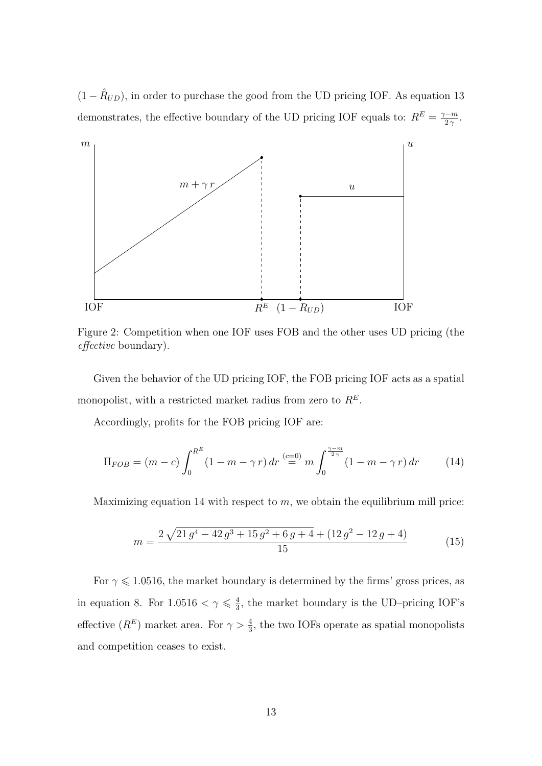$(1 - \hat{R}_{UD})$ , in order to purchase the good from the UD pricing IOF. As equation 13 demonstrates, the effective boundary of the UD pricing IOF equals to:  $R^E = \frac{\gamma - m}{2\gamma}$  $\frac{\gamma-m}{2\,\gamma}.$ 



Figure 2: Competition when one IOF uses FOB and the other uses UD pricing (the effective boundary).

Given the behavior of the UD pricing IOF, the FOB pricing IOF acts as a spatial monopolist, with a restricted market radius from zero to  $\mathbb{R}^E.$ 

Accordingly, profits for the FOB pricing IOF are:

$$
\Pi_{FOB} = (m - c) \int_0^{R^E} (1 - m - \gamma r) dr \stackrel{(c=0)}{=} m \int_0^{\frac{\gamma - m}{2\gamma}} (1 - m - \gamma r) dr \tag{14}
$$

Maximizing equation 14 with respect to  $m$ , we obtain the equilibrium mill price:

$$
m = \frac{2\sqrt{21g^4 - 42g^3 + 15g^2 + 6g + 4} + (12g^2 - 12g + 4)}{15}
$$
(15)

For  $\gamma \leq 1.0516$ , the market boundary is determined by the firms' gross prices, as in equation 8. For  $1.0516 < \gamma \leq \frac{4}{3}$  $\frac{4}{3}$ , the market boundary is the UD–pricing IOF's effective  $(R^E)$  market area. For  $\gamma > \frac{4}{3}$ , the two IOFs operate as spatial monopolists and competition ceases to exist.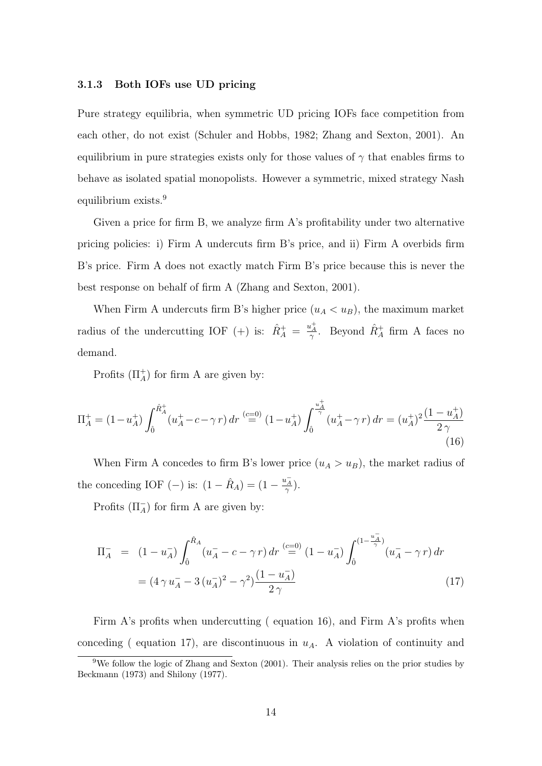#### 3.1.3 Both IOFs use UD pricing

Pure strategy equilibria, when symmetric UD pricing IOFs face competition from each other, do not exist (Schuler and Hobbs, 1982; Zhang and Sexton, 2001). An equilibrium in pure strategies exists only for those values of  $\gamma$  that enables firms to behave as isolated spatial monopolists. However a symmetric, mixed strategy Nash equilibrium exists.<sup>9</sup>

Given a price for firm B, we analyze firm A's profitability under two alternative pricing policies: i) Firm A undercuts firm B's price, and ii) Firm A overbids firm B's price. Firm A does not exactly match Firm B's price because this is never the best response on behalf of firm A (Zhang and Sexton, 2001).

When Firm A undercuts firm B's higher price  $(u_A < u_B)$ , the maximum market radius of the undercutting IOF (+) is:  $\hat{R}^+_A = \frac{u^+_A}{\gamma}$ . Beyond  $\hat{R}^+_A$  firm A faces no demand.

Profits  $(\Pi_A^+)$  for firm A are given by:

$$
\Pi_A^+ = (1 - u_A^+) \int_0^{\hat{R}_A^+} (u_A^+ - c - \gamma r) \, dr \stackrel{(c=0)}{=} (1 - u_A^+) \int_0^{\frac{u_A^+}{\gamma}} (u_A^+ - \gamma r) \, dr = (u_A^+)^2 \frac{(1 - u_A^+)}{2\gamma} \tag{16}
$$

When Firm A concedes to firm B's lower price  $(u_A > u_B)$ , the market radius of the conceding IOF (-) is:  $(1 - \hat{R}_A) = (1 - \frac{u_A^-}{\gamma}).$ 

Profits  $(\Pi_A^-)$  for firm A are given by:

$$
\Pi_{A}^{-} = (1 - u_{A}^{-}) \int_{\hat{0}}^{\hat{R}_{A}} (u_{A}^{-} - c - \gamma r) dr \stackrel{(c=0)}{=} (1 - u_{A}^{-}) \int_{\hat{0}}^{(1 - \frac{u_{A}^{-}}{\gamma})} (u_{A}^{-} - \gamma r) dr
$$
\n
$$
= (4 \gamma u_{A}^{-} - 3 (u_{A}^{-})^{2} - \gamma^{2}) \frac{(1 - u_{A}^{-})}{2 \gamma}
$$
\n(17)

Firm A's profits when undercutting (equation 16), and Firm A's profits when conceding ( equation 17), are discontinuous in  $u<sub>A</sub>$ . A violation of continuity and

<sup>&</sup>lt;sup>9</sup>We follow the logic of Zhang and Sexton (2001). Their analysis relies on the prior studies by Beckmann (1973) and Shilony (1977).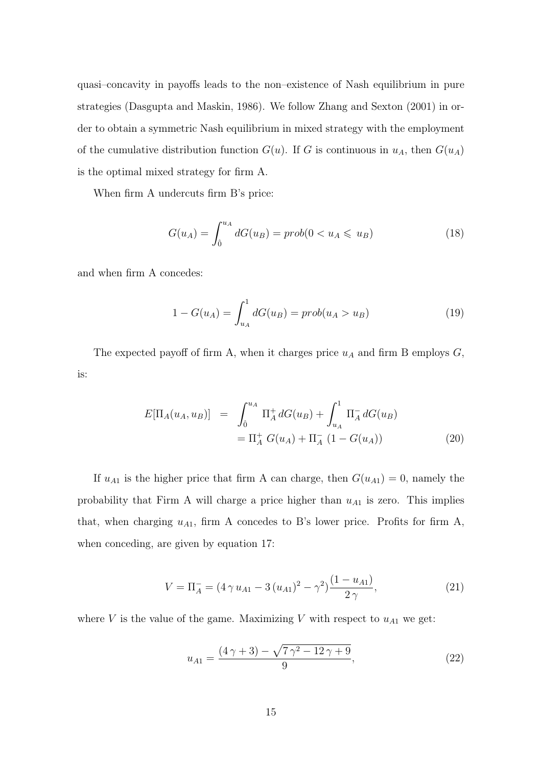quasi–concavity in payoffs leads to the non–existence of Nash equilibrium in pure strategies (Dasgupta and Maskin, 1986). We follow Zhang and Sexton (2001) in order to obtain a symmetric Nash equilibrium in mixed strategy with the employment of the cumulative distribution function  $G(u)$ . If G is continuous in  $u<sub>A</sub>$ , then  $G(u<sub>A</sub>)$ is the optimal mixed strategy for firm A.

When firm A undercuts firm B's price:

$$
G(u_A) = \int_0^{u_A} dG(u_B) = prob(0 < u_A \leq u_B)
$$
 (18)

and when firm A concedes:

$$
1 - G(u_A) = \int_{u_A}^{1} dG(u_B) = prob(u_A > u_B)
$$
 (19)

The expected payoff of firm A, when it charges price  $u_A$  and firm B employs  $G$ , is:

$$
E[\Pi_A(u_A, u_B)] = \int_0^{u_A} \Pi_A^+ dG(u_B) + \int_{u_A}^1 \Pi_A^- dG(u_B)
$$
  
=  $\Pi_A^+ G(u_A) + \Pi_A^- (1 - G(u_A))$  (20)

If  $u_{A1}$  is the higher price that firm A can charge, then  $G(u_{A1}) = 0$ , namely the probability that Firm A will charge a price higher than  $u_{A1}$  is zero. This implies that, when charging  $u_{A1}$ , firm A concedes to B's lower price. Profits for firm A, when conceding, are given by equation 17:

$$
V = \Pi_A^- = (4 \gamma u_{A1} - 3 (u_{A1})^2 - \gamma^2) \frac{(1 - u_{A1})}{2 \gamma},
$$
\n(21)

where V is the value of the game. Maximizing V with respect to  $u_{A1}$  we get:

$$
u_{A1} = \frac{(4\,\gamma + 3) - \sqrt{7\,\gamma^2 - 12\,\gamma + 9}}{9},\tag{22}
$$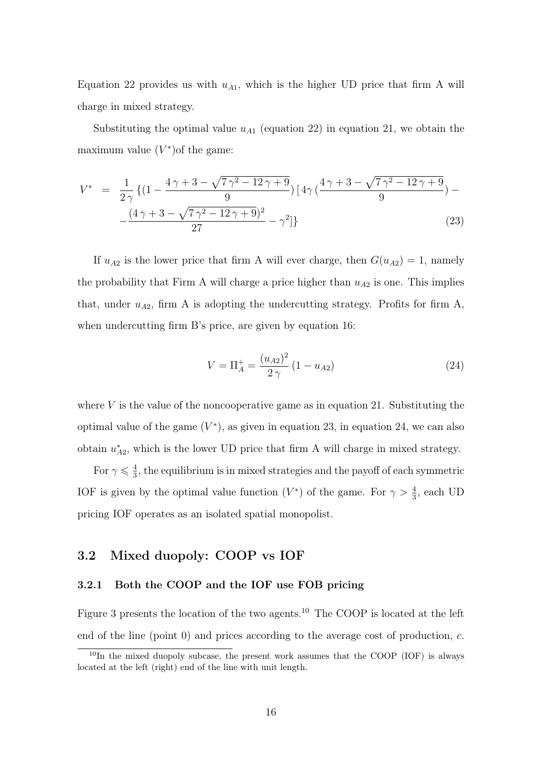Equation 22 provides us with  $u_{A1}$ , which is the higher UD price that firm A will charge in mixed strategy.

Substituting the optimal value  $u_{A1}$  (equation 22) in equation 21, we obtain the maximum value  $(V^*)$ of the game:

$$
V^* = \frac{1}{2\gamma} \{ (1 - \frac{4\gamma + 3 - \sqrt{7\gamma^2 - 12\gamma + 9}}{9}) \left[ 4\gamma \left( \frac{4\gamma + 3 - \sqrt{7\gamma^2 - 12\gamma + 9}}{9} \right) - \frac{\left(4\gamma + 3 - \sqrt{7\gamma^2 - 12\gamma + 9}\right)^2}{27} - \gamma^2 \} \} \tag{23}
$$

If  $u_{A2}$  is the lower price that firm A will ever charge, then  $G(u_{A2}) = 1$ , namely the probability that Firm A will charge a price higher than  $u_{A2}$  is one. This implies that, under  $u_{A2}$ , firm A is adopting the undercutting strategy. Profits for firm A, when undercutting firm B's price, are given by equation 16:

$$
V = \Pi_A^+ = \frac{(u_{A2})^2}{2\gamma} (1 - u_{A2})
$$
\n(24)

where  $V$  is the value of the noncooperative game as in equation 21. Substituting the optimal value of the game  $(V^*)$ , as given in equation 23, in equation 24, we can also obtain  $u^*_{\ell}$  $A_{2}^*$ , which is the lower UD price that firm A will charge in mixed strategy.

For  $\gamma \leqslant \frac{4}{3}$  $\frac{4}{3}$ , the equilibrium is in mixed strategies and the payoff of each symmetric IOF is given by the optimal value function  $(V^*)$  of the game. For  $\gamma > \frac{4}{3}$ , each UD pricing IOF operates as an isolated spatial monopolist.

### 3.2 Mixed duopoly: COOP vs IOF

#### 3.2.1 Both the COOP and the IOF use FOB pricing

Figure 3 presents the location of the two agents.<sup>10</sup> The COOP is located at the left end of the line (point  $0$ ) and prices according to the average cost of production,  $c$ .

 $10$ In the mixed duopoly subcase, the present work assumes that the COOP (IOF) is always located at the left (right) end of the line with unit length.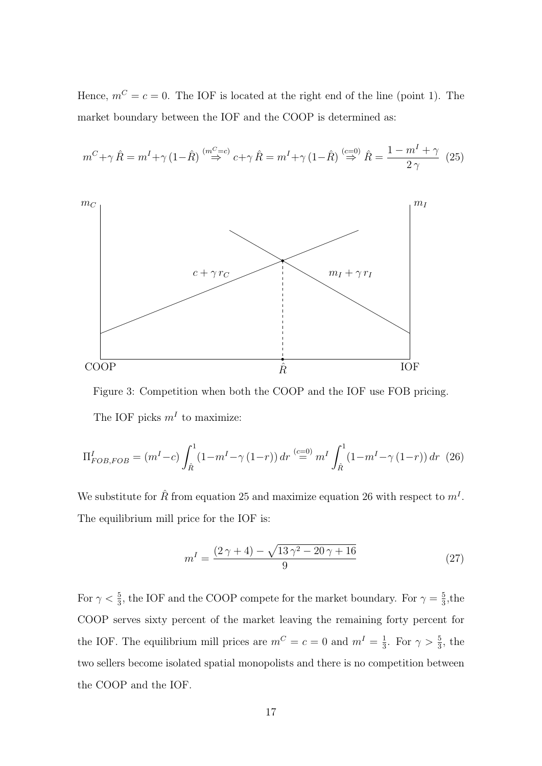Hence,  $m^C = c = 0$ . The IOF is located at the right end of the line (point 1). The market boundary between the IOF and the COOP is determined as:

$$
m^{C} + \gamma \hat{R} = m^{I} + \gamma (1 - \hat{R}) \stackrel{(m^{C} = c)}{\Rightarrow} c + \gamma \hat{R} = m^{I} + \gamma (1 - \hat{R}) \stackrel{(c = 0)}{\Rightarrow} \hat{R} = \frac{1 - m^{I} + \gamma}{2 \gamma} (25)
$$



Figure 3: Competition when both the COOP and the IOF use FOB pricing. The IOF picks  $m<sup>I</sup>$  to maximize:

$$
\Pi_{FOB, FOB}^I = (m^I - c) \int_{\hat{R}}^1 (1 - m^I - \gamma (1 - r)) dr \stackrel{(c=0)}{=} m^I \int_{\hat{R}}^1 (1 - m^I - \gamma (1 - r)) dr \tag{26}
$$

We substitute for  $\hat{R}$  from equation 25 and maximize equation 26 with respect to  $m<sup>I</sup>$ . The equilibrium mill price for the IOF is:

$$
m^{I} = \frac{(2\gamma + 4) - \sqrt{13\gamma^{2} - 20\gamma + 16}}{9}
$$
 (27)

For  $\gamma < \frac{5}{3}$ , the IOF and the COOP compete for the market boundary. For  $\gamma = \frac{5}{3}$  $\frac{5}{3}$ , the COOP serves sixty percent of the market leaving the remaining forty percent for the IOF. The equilibrium mill prices are  $m^C = c = 0$  and  $m^I = \frac{1}{3}$  $\frac{1}{3}$ . For  $\gamma > \frac{5}{3}$ , the two sellers become isolated spatial monopolists and there is no competition between the COOP and the IOF.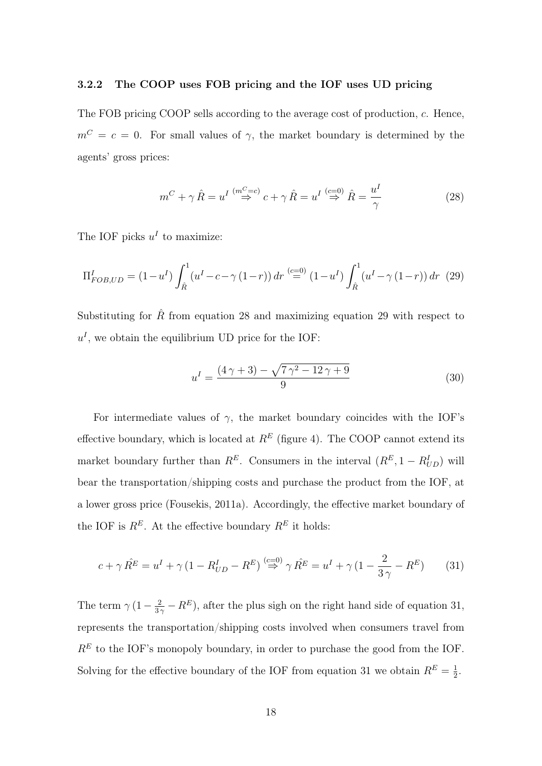#### 3.2.2 The COOP uses FOB pricing and the IOF uses UD pricing

The FOB pricing COOP sells according to the average cost of production, c. Hence,  $m^C = c = 0$ . For small values of  $\gamma$ , the market boundary is determined by the agents' gross prices:

$$
m^{C} + \gamma \hat{R} = u^{I} \stackrel{(m^{C}=c)}{\Rightarrow} c + \gamma \hat{R} = u^{I} \stackrel{(c=0)}{\Rightarrow} \hat{R} = \frac{u^{I}}{\gamma}
$$
 (28)

The IOF picks  $u^I$  to maximize:

$$
\Pi_{FOB, UD}^{I} = (1 - u^{I}) \int_{\hat{R}}^{1} (u^{I} - c - \gamma (1 - r)) dr \stackrel{(c=0)}{=} (1 - u^{I}) \int_{\hat{R}}^{1} (u^{I} - \gamma (1 - r)) dr \tag{29}
$$

Substituting for  $\hat{R}$  from equation 28 and maximizing equation 29 with respect to  $u<sup>I</sup>$ , we obtain the equilibrium UD price for the IOF:

$$
u^{I} = \frac{(4\,\gamma + 3) - \sqrt{7\,\gamma^{2} - 12\,\gamma + 9}}{9} \tag{30}
$$

For intermediate values of  $\gamma$ , the market boundary coincides with the IOF's effective boundary, which is located at  $R<sup>E</sup>$  (figure 4). The COOP cannot extend its market boundary further than  $R^E$ . Consumers in the interval  $(R^E, 1 - R^I_{UD})$  will bear the transportation/shipping costs and purchase the product from the IOF, at a lower gross price (Fousekis, 2011a). Accordingly, the effective market boundary of the IOF is  $R^E$ . At the effective boundary  $R^E$  it holds:

$$
c + \gamma \hat{R^E} = u^I + \gamma \left(1 - R_{UD}^I - R^E\right) \stackrel{(c=0)}{\Rightarrow} \gamma \hat{R^E} = u^I + \gamma \left(1 - \frac{2}{3\gamma} - R^E\right) \tag{31}
$$

The term  $\gamma (1 - \frac{2}{3\gamma} - R^E)$ , after the plus sigh on the right hand side of equation 31, represents the transportation/shipping costs involved when consumers travel from  $R<sup>E</sup>$  to the IOF's monopoly boundary, in order to purchase the good from the IOF. Solving for the effective boundary of the IOF from equation 31 we obtain  $R^E = \frac{1}{2}$  $rac{1}{2}$ .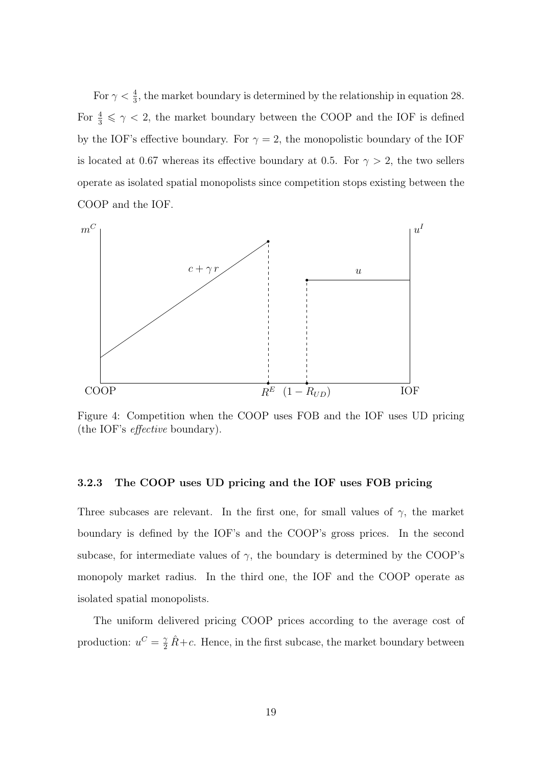For  $\gamma < \frac{4}{3}$ , the market boundary is determined by the relationship in equation 28. For  $\frac{4}{3} \leq \gamma < 2$ , the market boundary between the COOP and the IOF is defined by the IOF's effective boundary. For  $\gamma = 2$ , the monopolistic boundary of the IOF is located at 0.67 whereas its effective boundary at 0.5. For  $\gamma > 2$ , the two sellers operate as isolated spatial monopolists since competition stops existing between the COOP and the IOF.



Figure 4: Competition when the COOP uses FOB and the IOF uses UD pricing (the IOF's effective boundary).

#### 3.2.3 The COOP uses UD pricing and the IOF uses FOB pricing

Three subcases are relevant. In the first one, for small values of  $\gamma$ , the market boundary is defined by the IOF's and the COOP's gross prices. In the second subcase, for intermediate values of  $\gamma$ , the boundary is determined by the COOP's monopoly market radius. In the third one, the IOF and the COOP operate as isolated spatial monopolists.

The uniform delivered pricing COOP prices according to the average cost of production:  $u^C = \frac{\gamma}{2} \hat{R} + c$ . Hence, in the first subcase, the market boundary between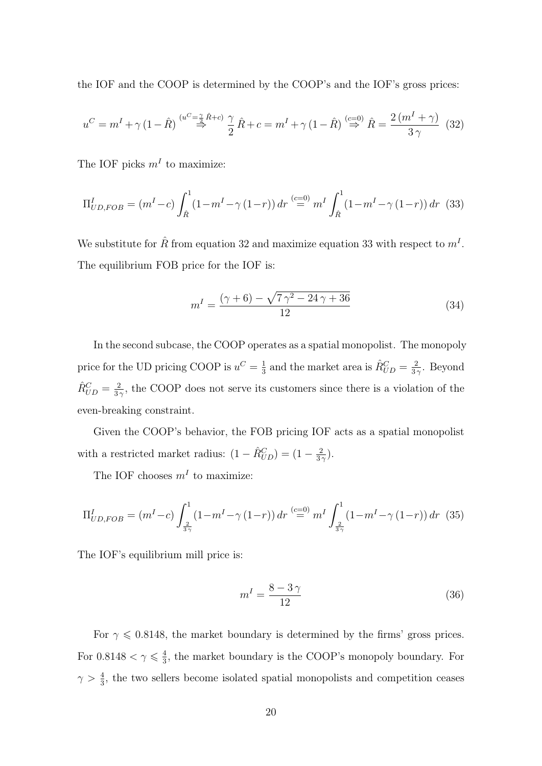the IOF and the COOP is determined by the COOP's and the IOF's gross prices:

$$
u^C = m^I + \gamma \left(1 - \hat{R}\right) \stackrel{(u^C = \frac{\gamma}{2} \hat{R} + c)}{\Rightarrow} \frac{\gamma}{2} \hat{R} + c = m^I + \gamma \left(1 - \hat{R}\right) \stackrel{(c=0)}{\Rightarrow} \hat{R} = \frac{2 \left(m^I + \gamma\right)}{3 \gamma} \tag{32}
$$

The IOF picks  $m<sup>I</sup>$  to maximize:

$$
\Pi_{UD,FOB}^{I} = (m^{I} - c) \int_{\hat{R}}^{1} (1 - m^{I} - \gamma (1 - r)) dr \stackrel{(c=0)}{=} m^{I} \int_{\hat{R}}^{1} (1 - m^{I} - \gamma (1 - r)) dr \tag{33}
$$

We substitute for  $\hat{R}$  from equation 32 and maximize equation 33 with respect to  $m<sup>I</sup>$ . The equilibrium FOB price for the IOF is:

$$
m^{I} = \frac{(\gamma + 6) - \sqrt{7\gamma^{2} - 24\gamma + 36}}{12}
$$
 (34)

In the second subcase, the COOP operates as a spatial monopolist. The monopoly price for the UD pricing COOP is  $u^C = \frac{1}{3}$  $\frac{1}{3}$  and the market area is  $\hat{R}_{UD}^C = \frac{2}{3}$  $\frac{2}{3\gamma}$ . Beyond  $\hat{R}_{UD}^C = \frac{2}{3}$  $\frac{2}{3\gamma}$ , the COOP does not serve its customers since there is a violation of the even-breaking constraint.

Given the COOP's behavior, the FOB pricing IOF acts as a spatial monopolist with a restricted market radius:  $(1 - \hat{R}_{UD}^C) = (1 - \frac{2}{3})$  $\frac{2}{3\gamma}$ ).

The IOF chooses  $m<sup>I</sup>$  to maximize:

$$
\Pi_{UD,FOB}^{I} = (m^{I} - c) \int_{\frac{2}{3\gamma}}^{1} (1 - m^{I} - \gamma (1 - r)) dr \stackrel{(c=0)}{=} m^{I} \int_{\frac{2}{3\gamma}}^{1} (1 - m^{I} - \gamma (1 - r)) dr \tag{35}
$$

The IOF's equilibrium mill price is:

$$
m^I = \frac{8 - 3\gamma}{12} \tag{36}
$$

For  $\gamma \leq 0.8148$ , the market boundary is determined by the firms' gross prices. For 0.8148  $< \gamma \leqslant \frac{4}{3}$  $\frac{4}{3}$ , the market boundary is the COOP's monopoly boundary. For  $\gamma > \frac{4}{3}$ , the two sellers become isolated spatial monopolists and competition ceases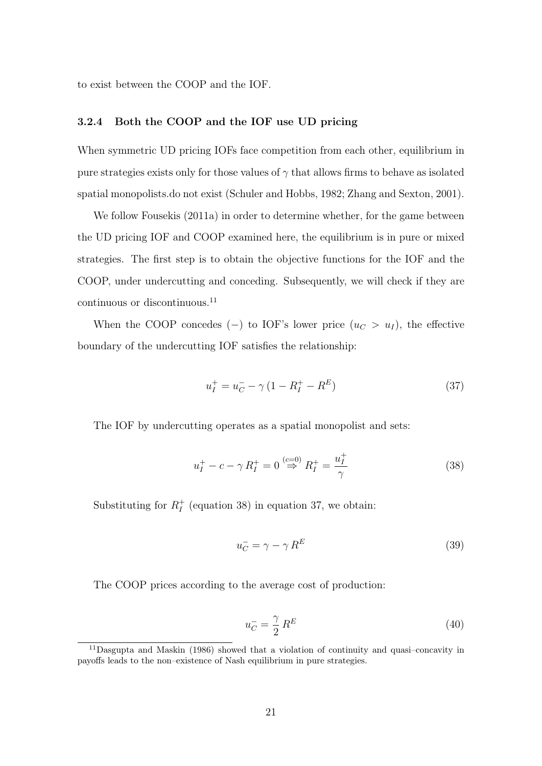to exist between the COOP and the IOF.

#### 3.2.4 Both the COOP and the IOF use UD pricing

When symmetric UD pricing IOFs face competition from each other, equilibrium in pure strategies exists only for those values of  $\gamma$  that allows firms to behave as isolated spatial monopolists.do not exist (Schuler and Hobbs, 1982; Zhang and Sexton, 2001).

We follow Fousekis (2011a) in order to determine whether, for the game between the UD pricing IOF and COOP examined here, the equilibrium is in pure or mixed strategies. The first step is to obtain the objective functions for the IOF and the COOP, under undercutting and conceding. Subsequently, we will check if they are continuous or discontinuous.<sup>11</sup>

When the COOP concedes (−) to IOF's lower price  $(u<sub>C</sub> > u<sub>I</sub>)$ , the effective boundary of the undercutting IOF satisfies the relationship:

$$
u_I^+ = u_C^- - \gamma \left( 1 - R_I^+ - R^E \right) \tag{37}
$$

The IOF by undercutting operates as a spatial monopolist and sets:

$$
u_I^+ - c - \gamma R_I^+ = 0 \stackrel{(c=0)}{\Rightarrow} R_I^+ = \frac{u_I^+}{\gamma}
$$
 (38)

Substituting for  $R_I^+$  $I<sub>I</sub><sup>+</sup>$  (equation 38) in equation 37, we obtain:

$$
u_C^- = \gamma - \gamma R^E \tag{39}
$$

The COOP prices according to the average cost of production:

$$
u_C^- = \frac{\gamma}{2} R^E \tag{40}
$$

<sup>11</sup>Dasgupta and Maskin (1986) showed that a violation of continuity and quasi–concavity in payoffs leads to the non–existence of Nash equilibrium in pure strategies.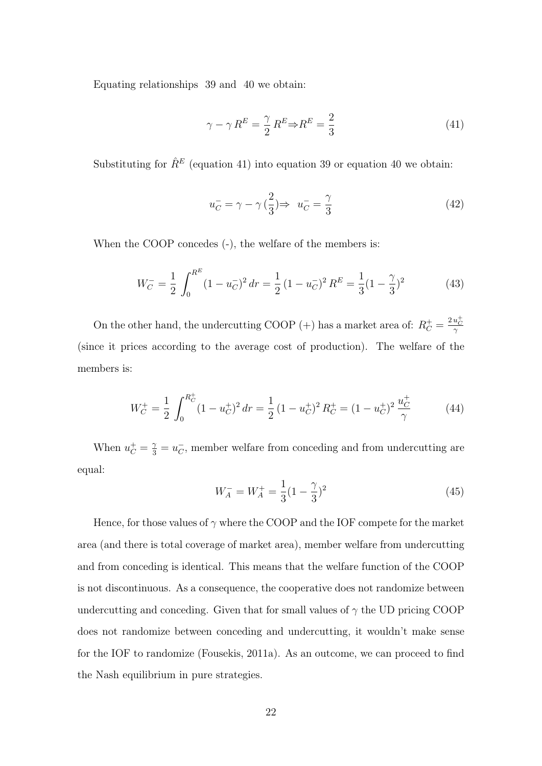Equating relationships 39 and 40 we obtain:

$$
\gamma - \gamma R^{E} = \frac{\gamma}{2} R^{E} \Rightarrow R^{E} = \frac{2}{3}
$$
\n(41)

Substituting for  $\hat{R}^E$  (equation 41) into equation 39 or equation 40 we obtain:

$$
u_C^- = \gamma - \gamma \left(\frac{2}{3}\right) \Rightarrow u_C^- = \frac{\gamma}{3} \tag{42}
$$

When the COOP concedes  $(-)$ , the welfare of the members is:

$$
W_C^- = \frac{1}{2} \int_0^{R^E} (1 - u_C^-)^2 dr = \frac{1}{2} (1 - u_C^-)^2 R^E = \frac{1}{3} (1 - \frac{\gamma}{3})^2
$$
 (43)

On the other hand, the undercutting COOP (+) has a market area of:  $R_C^+ = \frac{2u_C^+}{\gamma}$ (since it prices according to the average cost of production). The welfare of the members is:

$$
W_C^+ = \frac{1}{2} \int_0^{R_C^+} (1 - u_C^+)^2 dr = \frac{1}{2} (1 - u_C^+)^2 R_C^+ = (1 - u_C^+)^2 \frac{u_C^+}{\gamma}
$$
(44)

When  $u_C^+ = \frac{\gamma}{3} = u_C^ \bar{C}$ , member welfare from conceding and from undercutting are equal:

$$
W_A^- = W_A^+ = \frac{1}{3}(1 - \frac{\gamma}{3})^2
$$
\n(45)

Hence, for those values of  $\gamma$  where the COOP and the IOF compete for the market area (and there is total coverage of market area), member welfare from undercutting and from conceding is identical. This means that the welfare function of the COOP is not discontinuous. As a consequence, the cooperative does not randomize between undercutting and conceding. Given that for small values of  $\gamma$  the UD pricing COOP does not randomize between conceding and undercutting, it wouldn't make sense for the IOF to randomize (Fousekis, 2011a). As an outcome, we can proceed to find the Nash equilibrium in pure strategies.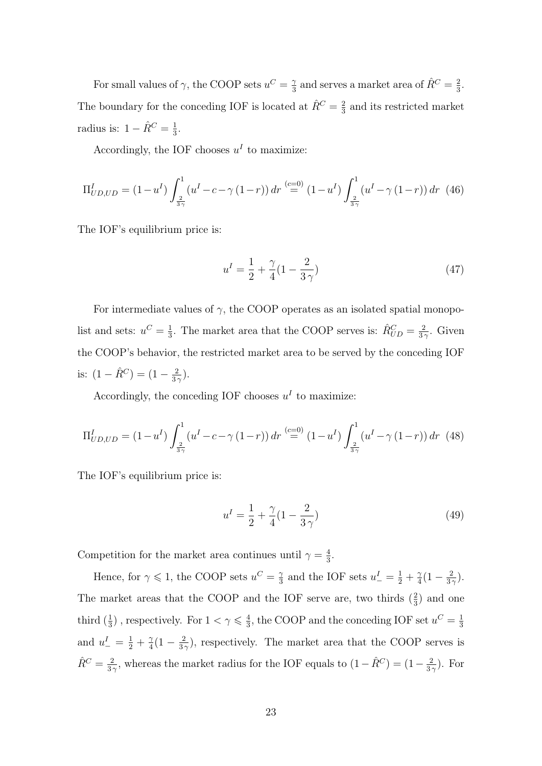For small values of  $\gamma$ , the COOP sets  $u^C = \frac{\gamma}{3}$  $\frac{\gamma}{3}$  and serves a market area of  $\hat{R}^C = \frac{2}{3}$  $\frac{2}{3}$ . The boundary for the conceding IOF is located at  $\hat{R}^C = \frac{2}{3}$  $\frac{2}{3}$  and its restricted market radius is:  $1 - \hat{R}^C = \frac{1}{3}$  $\frac{1}{3}$ .

Accordingly, the IOF chooses  $u<sup>I</sup>$  to maximize:

$$
\Pi_{UD,UD}^I = (1 - u^I) \int_{\frac{2}{3\gamma}}^1 (u^I - c - \gamma (1 - r)) dr \stackrel{(c=0)}{=} (1 - u^I) \int_{\frac{2}{3\gamma}}^1 (u^I - \gamma (1 - r)) dr \tag{46}
$$

The IOF's equilibrium price is:

$$
u^{I} = \frac{1}{2} + \frac{\gamma}{4} (1 - \frac{2}{3\gamma})
$$
\n(47)

For intermediate values of  $\gamma$ , the COOP operates as an isolated spatial monopolist and sets:  $u^C = \frac{1}{3}$  $\frac{1}{3}$ . The market area that the COOP serves is:  $\hat{R}_{UD}^C = \frac{2}{3}$  $rac{2}{3\gamma}$ . Given the COOP's behavior, the restricted market area to be served by the conceding IOF is:  $(1 - \hat{R}^C) = (1 - \frac{2}{3})$  $\frac{2}{3\gamma}$ ).

Accordingly, the conceding IOF chooses  $u<sup>I</sup>$  to maximize:

$$
\Pi_{UD,UD}^I = (1 - u^I) \int_{\frac{2}{3\gamma}}^1 (u^I - c - \gamma (1 - r)) \, dr \stackrel{(c=0)}{=} (1 - u^I) \int_{\frac{2}{3\gamma}}^1 (u^I - \gamma (1 - r)) \, dr \tag{48}
$$

The IOF's equilibrium price is:

$$
u^{I} = \frac{1}{2} + \frac{\gamma}{4}(1 - \frac{2}{3\gamma})
$$
\n(49)

Competition for the market area continues until  $\gamma = \frac{4}{3}$  $\frac{4}{3}$ .

Hence, for  $\gamma \leq 1$ , the COOP sets  $u^C = \frac{2}{3}$  $\frac{\gamma}{3}$  and the IOF sets  $u_-^I = \frac{1}{2} + \frac{\gamma}{4}$  $\frac{\gamma}{4}(1-\frac{2}{3})$  $\frac{2}{3\gamma}$ ). The market areas that the COOP and the IOF serve are, two thirds  $(\frac{2}{3})$  and one third  $(\frac{1}{3})$ , respectively. For  $1 < \gamma \leq \frac{4}{3}$  $\frac{4}{3}$ , the COOP and the conceding IOF set  $u^C = \frac{1}{3}$ 3 and  $u_{-}^{I} = \frac{1}{2} + \frac{\gamma}{4}$  $\frac{\gamma}{4}(1-\frac{2}{3})$  $\frac{2}{3\gamma}$ ), respectively. The market area that the COOP serves is  $\hat{R}^C = \frac{2}{3}$  $\frac{2}{3\gamma}$ , whereas the market radius for the IOF equals to  $(1-\hat{R}^C) = (1-\frac{2}{3\gamma})$  $\frac{2}{3\gamma}$ ). For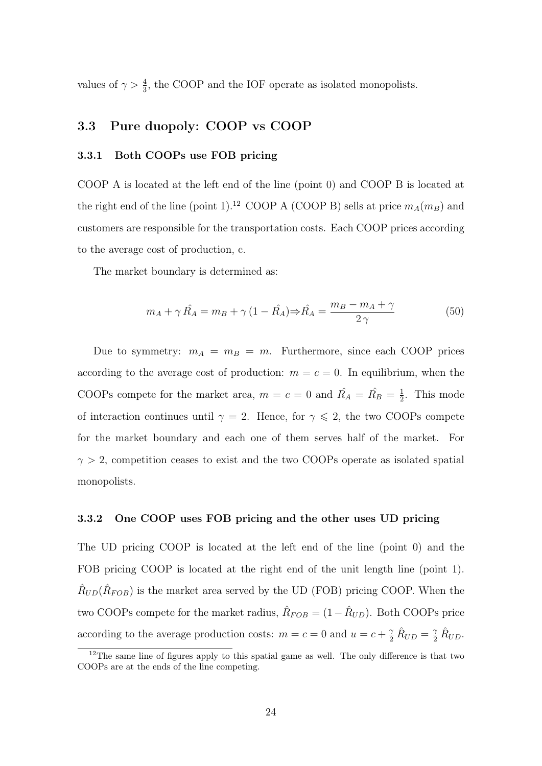values of  $\gamma > \frac{4}{3}$ , the COOP and the IOF operate as isolated monopolists.

### 3.3 Pure duopoly: COOP vs COOP

#### 3.3.1 Both COOPs use FOB pricing

COOP A is located at the left end of the line (point 0) and COOP B is located at the right end of the line (point 1).<sup>12</sup> COOP A (COOP B) sells at price  $m_A(m_B)$  and customers are responsible for the transportation costs. Each COOP prices according to the average cost of production, c.

The market boundary is determined as:

$$
m_A + \gamma \hat{R}_A = m_B + \gamma (1 - \hat{R}_A) \Rightarrow \hat{R}_A = \frac{m_B - m_A + \gamma}{2\gamma}
$$
 (50)

Due to symmetry:  $m_A = m_B = m$ . Furthermore, since each COOP prices according to the average cost of production:  $m = c = 0$ . In equilibrium, when the COOPs compete for the market area,  $m = c = 0$  and  $\hat{R}_A = \hat{R}_B = \frac{1}{2}$  $\frac{1}{2}$ . This mode of interaction continues until  $\gamma = 2$ . Hence, for  $\gamma \leq 2$ , the two COOPs compete for the market boundary and each one of them serves half of the market. For  $\gamma > 2$ , competition ceases to exist and the two COOPs operate as isolated spatial monopolists.

#### 3.3.2 One COOP uses FOB pricing and the other uses UD pricing

The UD pricing COOP is located at the left end of the line (point 0) and the FOB pricing COOP is located at the right end of the unit length line (point 1).  $\hat{R}_{UD}(\hat{R}_{FOB})$  is the market area served by the UD (FOB) pricing COOP. When the two COOPs compete for the market radius,  $\hat{R}_{FOB} = (1 - \hat{R}_{UD})$ . Both COOPs price according to the average production costs:  $m = c = 0$  and  $u = c + \frac{\gamma}{2} \hat{R}_{UD} = \frac{\gamma}{2} \hat{R}_{UD}$ .

<sup>&</sup>lt;sup>12</sup>The same line of figures apply to this spatial game as well. The only difference is that two COOPs are at the ends of the line competing.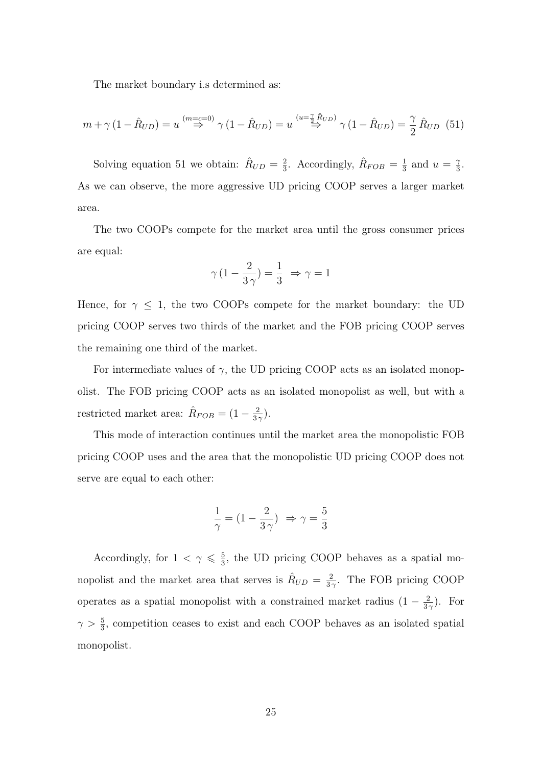The market boundary i.s determined as:

$$
m + \gamma (1 - \hat{R}_{UD}) = u \stackrel{(m=c=0)}{\Rightarrow} \gamma (1 - \hat{R}_{UD}) = u \stackrel{(u=\frac{\gamma}{2}\hat{R}_{UD})}{\Rightarrow} \gamma (1 - \hat{R}_{UD}) = \frac{\gamma}{2} \hat{R}_{UD} (51)
$$

Solving equation 51 we obtain:  $\hat{R}_{UD} = \frac{2}{3}$  $\frac{2}{3}$ . Accordingly,  $\hat{R}_{FOB} = \frac{1}{3}$  $\frac{1}{3}$  and  $u = \frac{2}{3}$  $\frac{\gamma}{3}$ . As we can observe, the more aggressive UD pricing COOP serves a larger market area.

The two COOPs compete for the market area until the gross consumer prices are equal:

$$
\gamma\,(1-\frac{2}{3\,\gamma})=\frac{1}{3}\,\,\Rightarrow\,\gamma=1
$$

Hence, for  $\gamma \leq 1$ , the two COOPs compete for the market boundary: the UD pricing COOP serves two thirds of the market and the FOB pricing COOP serves the remaining one third of the market.

For intermediate values of  $\gamma$ , the UD pricing COOP acts as an isolated monopolist. The FOB pricing COOP acts as an isolated monopolist as well, but with a restricted market area:  $\hat{R}_{FOB} = (1 - \frac{2}{3})$  $\frac{2}{3\gamma}$ ).

This mode of interaction continues until the market area the monopolistic FOB pricing COOP uses and the area that the monopolistic UD pricing COOP does not serve are equal to each other:

$$
\frac{1}{\gamma}=(1-\frac{2}{3\,\gamma})\;\Rightarrow \gamma=\frac{5}{3}
$$

Accordingly, for  $1 < \gamma \leq \frac{5}{3}$  $\frac{5}{3}$ , the UD pricing COOP behaves as a spatial monopolist and the market area that serves is  $\hat{R}_{UD} = \frac{2}{3}$  $\frac{2}{3\gamma}$ . The FOB pricing COOP operates as a spatial monopolist with a constrained market radius  $(1 - \frac{2}{3})$  $\frac{2}{3\gamma}$ ). For  $\gamma > \frac{5}{3}$ , competition ceases to exist and each COOP behaves as an isolated spatial monopolist.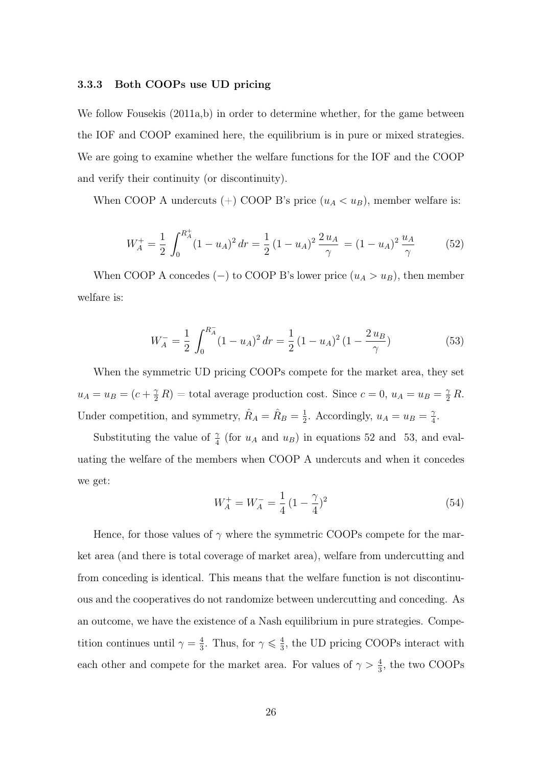#### 3.3.3 Both COOPs use UD pricing

We follow Fousekis  $(2011a,b)$  in order to determine whether, for the game between the IOF and COOP examined here, the equilibrium is in pure or mixed strategies. We are going to examine whether the welfare functions for the IOF and the COOP and verify their continuity (or discontinuity).

When COOP A undercuts (+) COOP B's price  $(u_A < u_B)$ , member welfare is:

$$
W_A^+ = \frac{1}{2} \int_0^{R_A^+} (1 - u_A)^2 \, dr = \frac{1}{2} \left( 1 - u_A \right)^2 \frac{2 u_A}{\gamma} = (1 - u_A)^2 \frac{u_A}{\gamma} \tag{52}
$$

When COOP A concedes (−) to COOP B's lower price  $(u_A > u_B)$ , then member welfare is:

$$
W_A^- = \frac{1}{2} \int_0^{R_A^-} (1 - u_A)^2 \, dr = \frac{1}{2} \left( 1 - u_A \right)^2 \left( 1 - \frac{2 \, u_B}{\gamma} \right) \tag{53}
$$

When the symmetric UD pricing COOPs compete for the market area, they set  $u_A = u_B = (c + \frac{\gamma}{2}R)$  = total average production cost. Since  $c = 0$ ,  $u_A = u_B = \frac{\gamma}{2}R$ . Under competition, and symmetry,  $\hat{R}_A = \hat{R}_B = \frac{1}{2}$  $\frac{1}{2}$ . Accordingly,  $u_A = u_B = \frac{1}{4}$  $\frac{\gamma}{4}.$ 

Substituting the value of  $\frac{\gamma}{4}$  (for  $u_A$  and  $u_B$ ) in equations 52 and 53, and evaluating the welfare of the members when COOP A undercuts and when it concedes we get:

$$
W_A^+ = W_A^- = \frac{1}{4} \left( 1 - \frac{\gamma}{4} \right)^2 \tag{54}
$$

Hence, for those values of  $\gamma$  where the symmetric COOPs compete for the market area (and there is total coverage of market area), welfare from undercutting and from conceding is identical. This means that the welfare function is not discontinuous and the cooperatives do not randomize between undercutting and conceding. As an outcome, we have the existence of a Nash equilibrium in pure strategies. Competition continues until  $\gamma = \frac{4}{3}$  $\frac{4}{3}$ . Thus, for  $\gamma \leqslant \frac{4}{3}$  $\frac{4}{3}$ , the UD pricing COOPs interact with each other and compete for the market area. For values of  $\gamma > \frac{4}{3}$ , the two COOPs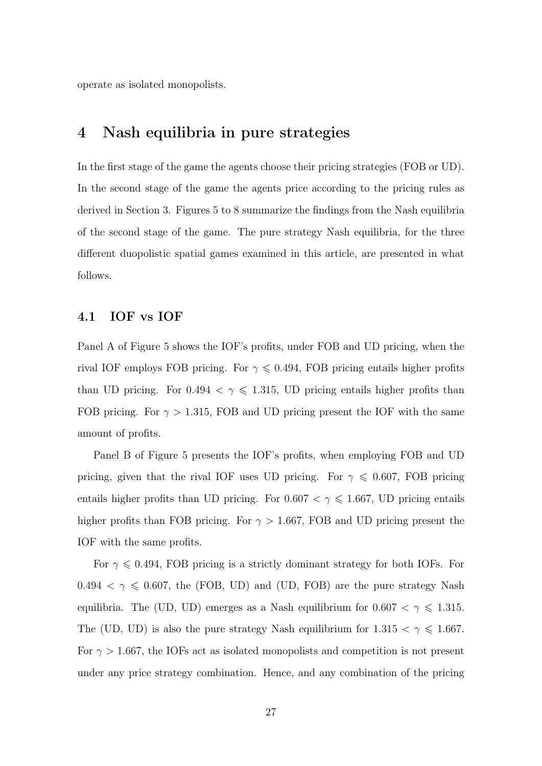operate as isolated monopolists.

### 4 Nash equilibria in pure strategies

In the first stage of the game the agents choose their pricing strategies (FOB or UD). In the second stage of the game the agents price according to the pricing rules as derived in Section 3. Figures 5 to 8 summarize the findings from the Nash equilibria of the second stage of the game. The pure strategy Nash equilibria, for the three different duopolistic spatial games examined in this article, are presented in what follows.

#### 4.1 IOF vs IOF

Panel A of Figure 5 shows the IOF's profits, under FOB and UD pricing, when the rival IOF employs FOB pricing. For  $\gamma \leq 0.494$ , FOB pricing entails higher profits than UD pricing. For 0.494  $\lt \gamma \leq 1.315$ , UD pricing entails higher profits than FOB pricing. For  $\gamma > 1.315$ , FOB and UD pricing present the IOF with the same amount of profits.

Panel B of Figure 5 presents the IOF's profits, when employing FOB and UD pricing, given that the rival IOF uses UD pricing. For  $\gamma \leq 0.607$ , FOB pricing entails higher profits than UD pricing. For  $0.607 < \gamma \leq 1.667$ , UD pricing entails higher profits than FOB pricing. For  $\gamma > 1.667$ , FOB and UD pricing present the IOF with the same profits.

For  $\gamma \leq 0.494$ , FOB pricing is a strictly dominant strategy for both IOFs. For  $0.494 < \gamma \le 0.607$ , the (FOB, UD) and (UD, FOB) are the pure strategy Nash equilibria. The (UD, UD) emerges as a Nash equilibrium for  $0.607 < \gamma \leq 1.315$ . The (UD, UD) is also the pure strategy Nash equilibrium for 1.315  $<\gamma\leqslant$  1.667. For  $\gamma > 1.667$ , the IOFs act as isolated monopolists and competition is not present under any price strategy combination. Hence, and any combination of the pricing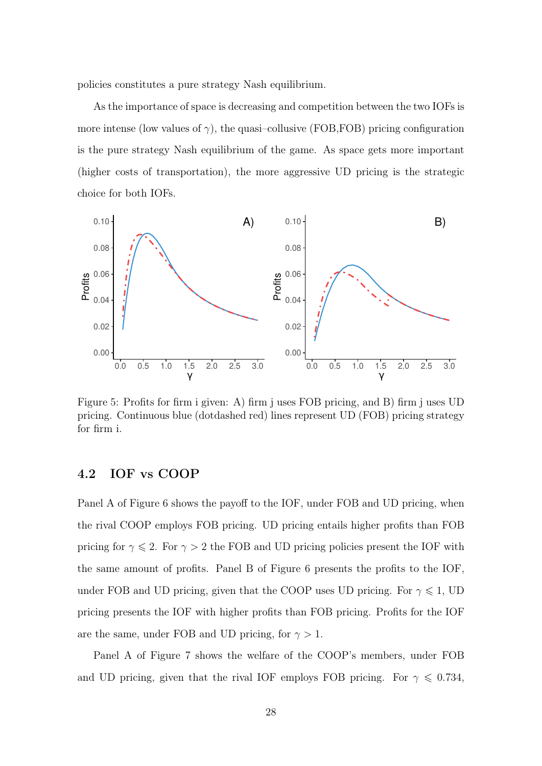policies constitutes a pure strategy Nash equilibrium.

As the importance of space is decreasing and competition between the two IOFs is more intense (low values of  $\gamma$ ), the quasi-collusive (FOB, FOB) pricing configuration is the pure strategy Nash equilibrium of the game. As space gets more important (higher costs of transportation), the more aggressive UD pricing is the strategic choice for both IOFs.



Figure 5: Profits for firm i given: A) firm j uses FOB pricing, and B) firm j uses UD pricing. Continuous blue (dotdashed red) lines represent UD (FOB) pricing strategy for firm i.

### 4.2 IOF vs COOP

Panel A of Figure 6 shows the payoff to the IOF, under FOB and UD pricing, when the rival COOP employs FOB pricing. UD pricing entails higher profits than FOB pricing for  $\gamma \leq 2$ . For  $\gamma > 2$  the FOB and UD pricing policies present the IOF with the same amount of profits. Panel B of Figure 6 presents the profits to the IOF, under FOB and UD pricing, given that the COOP uses UD pricing. For  $\gamma \leq 1$ , UD pricing presents the IOF with higher profits than FOB pricing. Profits for the IOF are the same, under FOB and UD pricing, for  $\gamma > 1$ .

Panel A of Figure 7 shows the welfare of the COOP's members, under FOB and UD pricing, given that the rival IOF employs FOB pricing. For  $\gamma \leq 0.734$ ,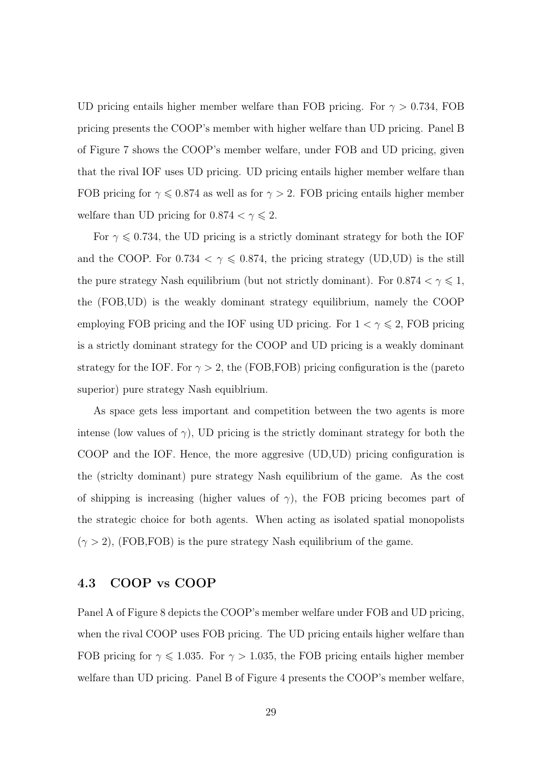UD pricing entails higher member welfare than FOB pricing. For  $\gamma > 0.734$ , FOB pricing presents the COOP's member with higher welfare than UD pricing. Panel B of Figure 7 shows the COOP's member welfare, under FOB and UD pricing, given that the rival IOF uses UD pricing. UD pricing entails higher member welfare than FOB pricing for  $\gamma \leq 0.874$  as well as for  $\gamma > 2$ . FOB pricing entails higher member welfare than UD pricing for  $0.874 < \gamma \leq 2$ .

For  $\gamma \leq 0.734$ , the UD pricing is a strictly dominant strategy for both the IOF and the COOP. For 0.734  $\lt \gamma \leq 0.874$ , the pricing strategy (UD,UD) is the still the pure strategy Nash equilibrium (but not strictly dominant). For  $0.874 < \gamma \leqslant 1,$ the (FOB,UD) is the weakly dominant strategy equilibrium, namely the COOP employing FOB pricing and the IOF using UD pricing. For  $1 < \gamma \le 2$ , FOB pricing is a strictly dominant strategy for the COOP and UD pricing is a weakly dominant strategy for the IOF. For  $\gamma > 2$ , the (FOB, FOB) pricing configuration is the (pareto superior) pure strategy Nash equiblrium.

As space gets less important and competition between the two agents is more intense (low values of  $\gamma$ ), UD pricing is the strictly dominant strategy for both the COOP and the IOF. Hence, the more aggresive (UD,UD) pricing configuration is the (striclty dominant) pure strategy Nash equilibrium of the game. As the cost of shipping is increasing (higher values of  $\gamma$ ), the FOB pricing becomes part of the strategic choice for both agents. When acting as isolated spatial monopolists  $(\gamma > 2)$ , (FOB, FOB) is the pure strategy Nash equilibrium of the game.

### 4.3 COOP vs COOP

Panel A of Figure 8 depicts the COOP's member welfare under FOB and UD pricing, when the rival COOP uses FOB pricing. The UD pricing entails higher welfare than FOB pricing for  $\gamma \leq 1.035$ . For  $\gamma > 1.035$ , the FOB pricing entails higher member welfare than UD pricing. Panel B of Figure 4 presents the COOP's member welfare,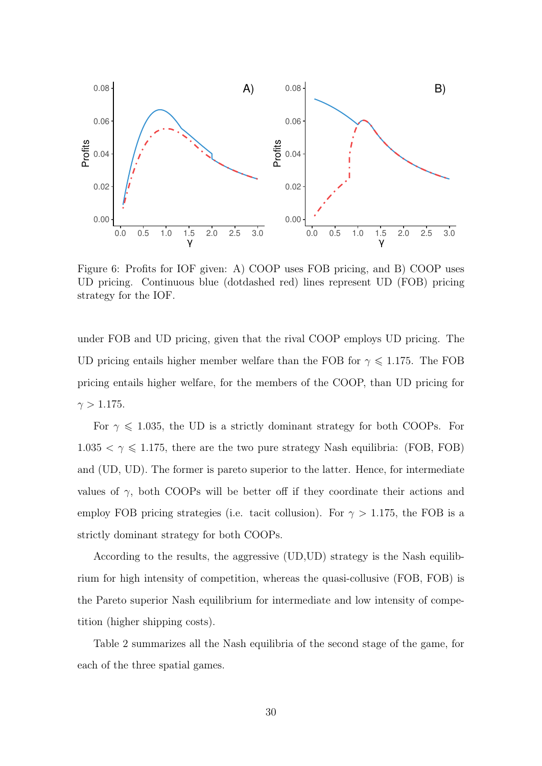

Figure 6: Profits for IOF given: A) COOP uses FOB pricing, and B) COOP uses UD pricing. Continuous blue (dotdashed red) lines represent UD (FOB) pricing strategy for the IOF.

under FOB and UD pricing, given that the rival COOP employs UD pricing. The UD pricing entails higher member welfare than the FOB for  $\gamma \leq 1.175$ . The FOB pricing entails higher welfare, for the members of the COOP, than UD pricing for  $\gamma > 1.175$ .

For  $\gamma \leq 1.035$ , the UD is a strictly dominant strategy for both COOPs. For  $1.035 < \gamma \leq 1.175$ , there are the two pure strategy Nash equilibria: (FOB, FOB) and (UD, UD). The former is pareto superior to the latter. Hence, for intermediate values of  $\gamma$ , both COOPs will be better off if they coordinate their actions and employ FOB pricing strategies (i.e. tacit collusion). For  $\gamma > 1.175$ , the FOB is a strictly dominant strategy for both COOPs.

According to the results, the aggressive (UD,UD) strategy is the Nash equilibrium for high intensity of competition, whereas the quasi-collusive (FOB, FOB) is the Pareto superior Nash equilibrium for intermediate and low intensity of competition (higher shipping costs).

Table 2 summarizes all the Nash equilibria of the second stage of the game, for each of the three spatial games.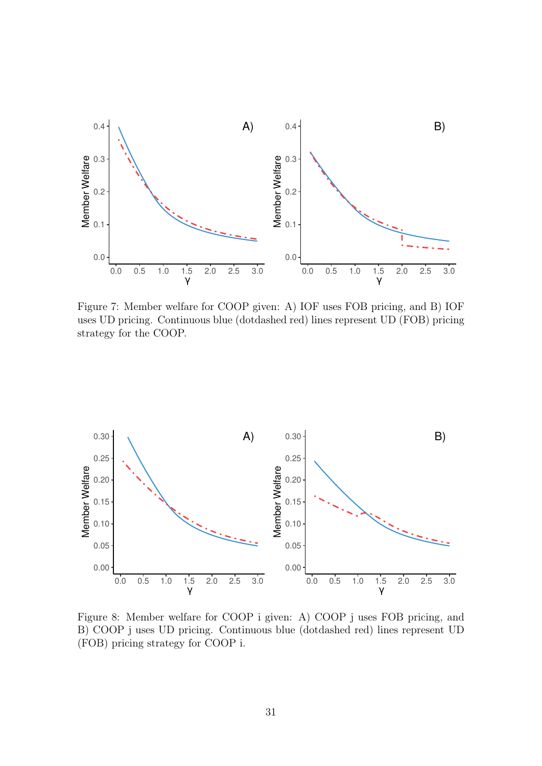

Figure 7: Member welfare for COOP given: A) IOF uses FOB pricing, and B) IOF uses UD pricing. Continuous blue (dotdashed red) lines represent UD (FOB) pricing strategy for the COOP.



Figure 8: Member welfare for COOP i given: A) COOP j uses FOB pricing, and B) COOP j uses UD pricing. Continuous blue (dotdashed red) lines represent UD (FOB) pricing strategy for COOP i.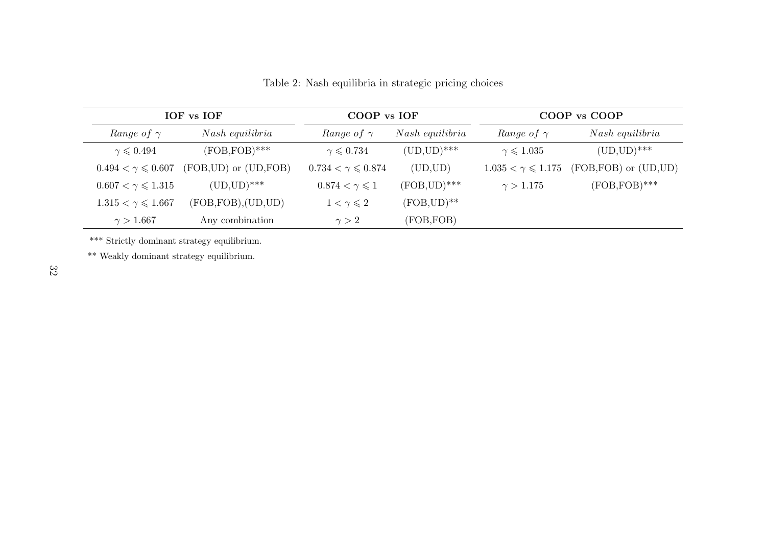| IOF vs IOF                       |                            | COOP vs IOF                  |                 | COOP vs COOP               |                            |
|----------------------------------|----------------------------|------------------------------|-----------------|----------------------------|----------------------------|
| Range of $\gamma$                | Nash equilibria            | Range of $\gamma$            | Nash equilibria | <i>Range of</i> $\gamma$   | Nash equilibria            |
| $\gamma \leqslant 0.494$         | $(FOB, FOB)$ ***           | $\gamma \leqslant 0.734$     | $(UD, UD)$ ***  | $\gamma \leqslant 1.035$   | $(UD, UD)$ ***             |
| $0.494 < \gamma \leq 0.607$      | $(FOB, UD)$ or $(UD, FOB)$ | $0.734 < \gamma \le 0.874$   | (UD, UD)        | $1.035 < \gamma \le 1.175$ | $(FOB, FOB)$ or $(UD, UD)$ |
| $0.607 < \gamma \leqslant 1.315$ | $(UD, UD)$ ***             | $0.874 < \gamma \leqslant 1$ | $(FOB, UD)$ *** | $\gamma > 1.175$           | $(FOB, FOB)$ ***           |
| $1.315 < \gamma \leq 1.667$      | (FOB, FOB), (UD, UD)       | $1 < \gamma \leqslant 2$     | $(FOB, UD)$ **  |                            |                            |
| $\gamma > 1.667$                 | Any combination            | $\gamma > 2$                 | (FOB, FOB)      |                            |                            |

Table 2: Nash equilibria in strategic pricing choices

\*\*\* Strictly dominant strategy equilibrium.

\*\* Weakly dominant strategy equilibrium.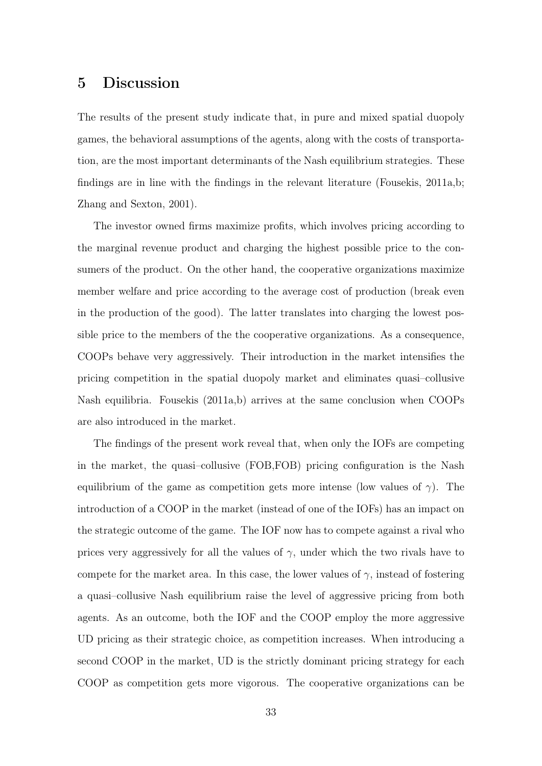### 5 Discussion

The results of the present study indicate that, in pure and mixed spatial duopoly games, the behavioral assumptions of the agents, along with the costs of transportation, are the most important determinants of the Nash equilibrium strategies. These findings are in line with the findings in the relevant literature (Fousekis, 2011a,b; Zhang and Sexton, 2001).

The investor owned firms maximize profits, which involves pricing according to the marginal revenue product and charging the highest possible price to the consumers of the product. On the other hand, the cooperative organizations maximize member welfare and price according to the average cost of production (break even in the production of the good). The latter translates into charging the lowest possible price to the members of the the cooperative organizations. As a consequence, COOPs behave very aggressively. Their introduction in the market intensifies the pricing competition in the spatial duopoly market and eliminates quasi–collusive Nash equilibria. Fousekis (2011a,b) arrives at the same conclusion when COOPs are also introduced in the market.

The findings of the present work reveal that, when only the IOFs are competing in the market, the quasi–collusive (FOB,FOB) pricing configuration is the Nash equilibrium of the game as competition gets more intense (low values of  $\gamma$ ). The introduction of a COOP in the market (instead of one of the IOFs) has an impact on the strategic outcome of the game. The IOF now has to compete against a rival who prices very aggressively for all the values of  $\gamma$ , under which the two rivals have to compete for the market area. In this case, the lower values of  $\gamma$ , instead of fostering a quasi–collusive Nash equilibrium raise the level of aggressive pricing from both agents. As an outcome, both the IOF and the COOP employ the more aggressive UD pricing as their strategic choice, as competition increases. When introducing a second COOP in the market, UD is the strictly dominant pricing strategy for each COOP as competition gets more vigorous. The cooperative organizations can be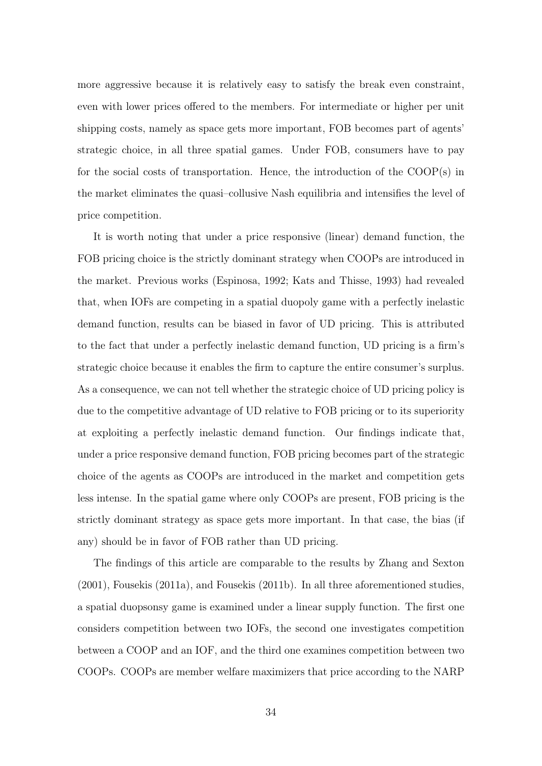more aggressive because it is relatively easy to satisfy the break even constraint, even with lower prices offered to the members. For intermediate or higher per unit shipping costs, namely as space gets more important, FOB becomes part of agents' strategic choice, in all three spatial games. Under FOB, consumers have to pay for the social costs of transportation. Hence, the introduction of the COOP(s) in the market eliminates the quasi–collusive Nash equilibria and intensifies the level of price competition.

It is worth noting that under a price responsive (linear) demand function, the FOB pricing choice is the strictly dominant strategy when COOPs are introduced in the market. Previous works (Espinosa, 1992; Kats and Thisse, 1993) had revealed that, when IOFs are competing in a spatial duopoly game with a perfectly inelastic demand function, results can be biased in favor of UD pricing. This is attributed to the fact that under a perfectly inelastic demand function, UD pricing is a firm's strategic choice because it enables the firm to capture the entire consumer's surplus. As a consequence, we can not tell whether the strategic choice of UD pricing policy is due to the competitive advantage of UD relative to FOB pricing or to its superiority at exploiting a perfectly inelastic demand function. Our findings indicate that, under a price responsive demand function, FOB pricing becomes part of the strategic choice of the agents as COOPs are introduced in the market and competition gets less intense. In the spatial game where only COOPs are present, FOB pricing is the strictly dominant strategy as space gets more important. In that case, the bias (if any) should be in favor of FOB rather than UD pricing.

The findings of this article are comparable to the results by Zhang and Sexton (2001), Fousekis (2011a), and Fousekis (2011b). In all three aforementioned studies, a spatial duopsonsy game is examined under a linear supply function. The first one considers competition between two IOFs, the second one investigates competition between a COOP and an IOF, and the third one examines competition between two COOPs. COOPs are member welfare maximizers that price according to the NARP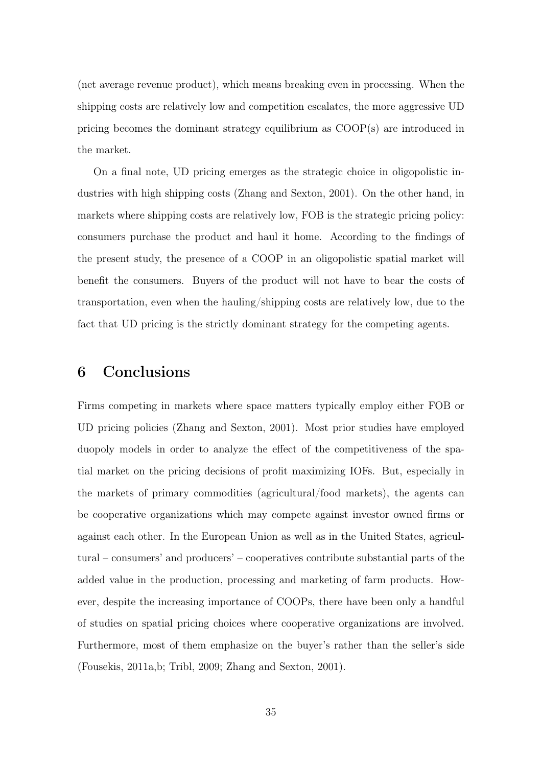(net average revenue product), which means breaking even in processing. When the shipping costs are relatively low and competition escalates, the more aggressive UD pricing becomes the dominant strategy equilibrium as COOP(s) are introduced in the market.

On a final note, UD pricing emerges as the strategic choice in oligopolistic industries with high shipping costs (Zhang and Sexton, 2001). On the other hand, in markets where shipping costs are relatively low, FOB is the strategic pricing policy: consumers purchase the product and haul it home. According to the findings of the present study, the presence of a COOP in an oligopolistic spatial market will benefit the consumers. Buyers of the product will not have to bear the costs of transportation, even when the hauling/shipping costs are relatively low, due to the fact that UD pricing is the strictly dominant strategy for the competing agents.

### 6 Conclusions

Firms competing in markets where space matters typically employ either FOB or UD pricing policies (Zhang and Sexton, 2001). Most prior studies have employed duopoly models in order to analyze the effect of the competitiveness of the spatial market on the pricing decisions of profit maximizing IOFs. But, especially in the markets of primary commodities (agricultural/food markets), the agents can be cooperative organizations which may compete against investor owned firms or against each other. In the European Union as well as in the United States, agricultural – consumers' and producers' – cooperatives contribute substantial parts of the added value in the production, processing and marketing of farm products. However, despite the increasing importance of COOPs, there have been only a handful of studies on spatial pricing choices where cooperative organizations are involved. Furthermore, most of them emphasize on the buyer's rather than the seller's side (Fousekis, 2011a,b; Tribl, 2009; Zhang and Sexton, 2001).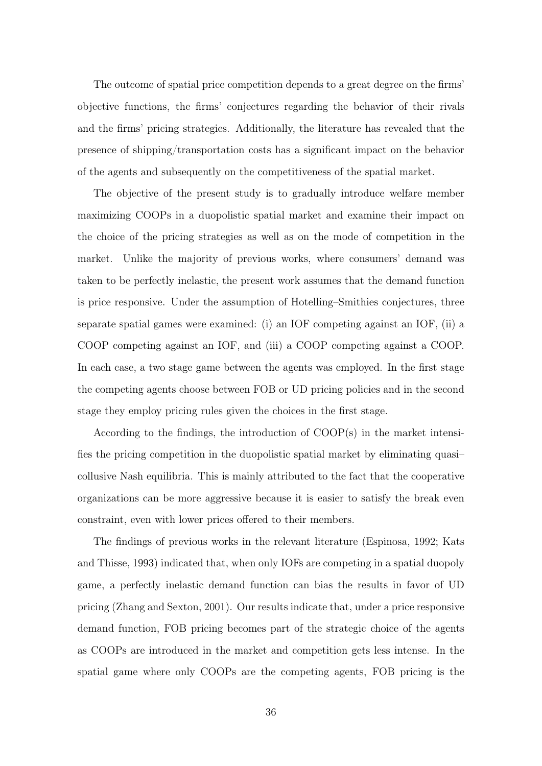The outcome of spatial price competition depends to a great degree on the firms' objective functions, the firms' conjectures regarding the behavior of their rivals and the firms' pricing strategies. Additionally, the literature has revealed that the presence of shipping/transportation costs has a significant impact on the behavior of the agents and subsequently on the competitiveness of the spatial market.

The objective of the present study is to gradually introduce welfare member maximizing COOPs in a duopolistic spatial market and examine their impact on the choice of the pricing strategies as well as on the mode of competition in the market. Unlike the majority of previous works, where consumers' demand was taken to be perfectly inelastic, the present work assumes that the demand function is price responsive. Under the assumption of Hotelling–Smithies conjectures, three separate spatial games were examined: (i) an IOF competing against an IOF, (ii) a COOP competing against an IOF, and (iii) a COOP competing against a COOP. In each case, a two stage game between the agents was employed. In the first stage the competing agents choose between FOB or UD pricing policies and in the second stage they employ pricing rules given the choices in the first stage.

According to the findings, the introduction of COOP(s) in the market intensifies the pricing competition in the duopolistic spatial market by eliminating quasi– collusive Nash equilibria. This is mainly attributed to the fact that the cooperative organizations can be more aggressive because it is easier to satisfy the break even constraint, even with lower prices offered to their members.

The findings of previous works in the relevant literature (Espinosa, 1992; Kats and Thisse, 1993) indicated that, when only IOFs are competing in a spatial duopoly game, a perfectly inelastic demand function can bias the results in favor of UD pricing (Zhang and Sexton, 2001). Our results indicate that, under a price responsive demand function, FOB pricing becomes part of the strategic choice of the agents as COOPs are introduced in the market and competition gets less intense. In the spatial game where only COOPs are the competing agents, FOB pricing is the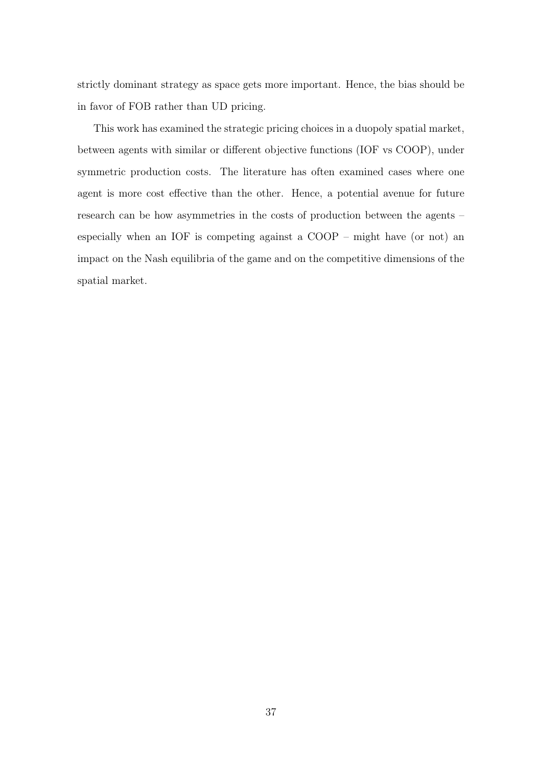strictly dominant strategy as space gets more important. Hence, the bias should be in favor of FOB rather than UD pricing.

This work has examined the strategic pricing choices in a duopoly spatial market, between agents with similar or different objective functions (IOF vs COOP), under symmetric production costs. The literature has often examined cases where one agent is more cost effective than the other. Hence, a potential avenue for future research can be how asymmetries in the costs of production between the agents – especially when an IOF is competing against a COOP – might have (or not) an impact on the Nash equilibria of the game and on the competitive dimensions of the spatial market.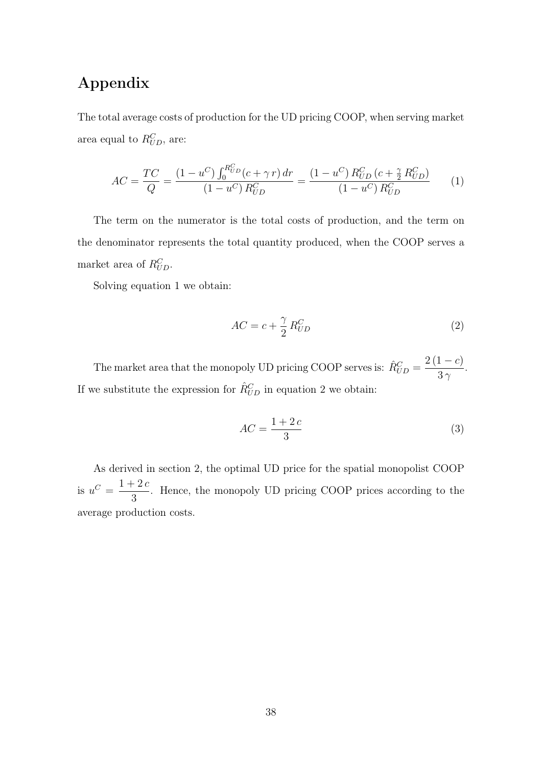# Appendix

The total average costs of production for the UD pricing COOP, when serving market area equal to  $R_{UD}^C$ , are:

$$
AC = \frac{TC}{Q} = \frac{(1 - u^C) \int_0^{R_{UD}^C} (c + \gamma r) dr}{(1 - u^C) R_{UD}^C} = \frac{(1 - u^C) R_{UD}^C (c + \frac{\gamma}{2} R_{UD}^C)}{(1 - u^C) R_{UD}^C}
$$
(1)

The term on the numerator is the total costs of production, and the term on the denominator represents the total quantity produced, when the COOP serves a market area of  $R_{UD}^C$ .

Solving equation 1 we obtain:

$$
AC = c + \frac{\gamma}{2} R_{UD}^C \tag{2}
$$

The market area that the monopoly UD pricing COOP serves is:  $\hat{R}_{UD}^C = \frac{2(1-c)}{3\gamma}$  $\frac{1}{3\gamma}$ . If we substitute the expression for  $\hat{R}_{UD}^C$  in equation 2 we obtain:

$$
AC = \frac{1+2c}{3} \tag{3}
$$

As derived in section 2, the optimal UD price for the spatial monopolist COOP is  $u^C = \frac{1+2c}{2}$ 3 . Hence, the monopoly UD pricing COOP prices according to the average production costs.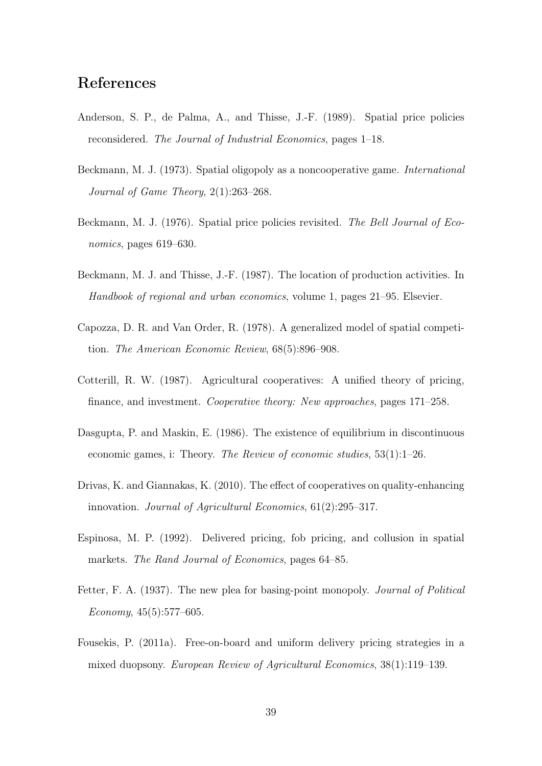# References

- Anderson, S. P., de Palma, A., and Thisse, J.-F. (1989). Spatial price policies reconsidered. The Journal of Industrial Economics, pages 1–18.
- Beckmann, M. J. (1973). Spatial oligopoly as a noncooperative game. International Journal of Game Theory, 2(1):263–268.
- Beckmann, M. J. (1976). Spatial price policies revisited. The Bell Journal of Economics, pages 619–630.
- Beckmann, M. J. and Thisse, J.-F. (1987). The location of production activities. In Handbook of regional and urban economics, volume 1, pages 21–95. Elsevier.
- Capozza, D. R. and Van Order, R. (1978). A generalized model of spatial competition. The American Economic Review, 68(5):896–908.
- Cotterill, R. W. (1987). Agricultural cooperatives: A unified theory of pricing, finance, and investment. Cooperative theory: New approaches, pages 171–258.
- Dasgupta, P. and Maskin, E. (1986). The existence of equilibrium in discontinuous economic games, i: Theory. The Review of economic studies, 53(1):1–26.
- Drivas, K. and Giannakas, K. (2010). The effect of cooperatives on quality-enhancing innovation. Journal of Agricultural Economics, 61(2):295–317.
- Espinosa, M. P. (1992). Delivered pricing, fob pricing, and collusion in spatial markets. The Rand Journal of Economics, pages 64–85.
- Fetter, F. A. (1937). The new plea for basing-point monopoly. Journal of Political  $Economy, 45(5):577-605.$
- Fousekis, P. (2011a). Free-on-board and uniform delivery pricing strategies in a mixed duopsony. European Review of Agricultural Economics, 38(1):119–139.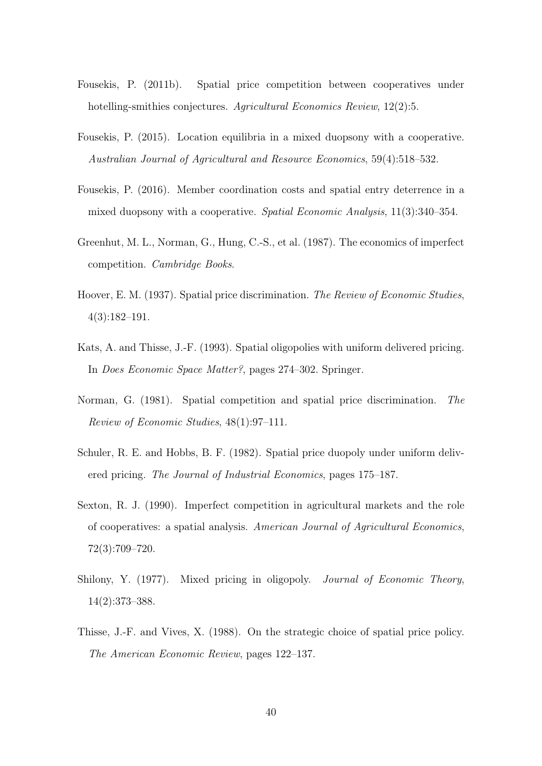- Fousekis, P. (2011b). Spatial price competition between cooperatives under hotelling-smithies conjectures. Agricultural Economics Review, 12(2):5.
- Fousekis, P. (2015). Location equilibria in a mixed duopsony with a cooperative. Australian Journal of Agricultural and Resource Economics, 59(4):518–532.
- Fousekis, P. (2016). Member coordination costs and spatial entry deterrence in a mixed duopsony with a cooperative. Spatial Economic Analysis, 11(3):340–354.
- Greenhut, M. L., Norman, G., Hung, C.-S., et al. (1987). The economics of imperfect competition. Cambridge Books.
- Hoover, E. M. (1937). Spatial price discrimination. The Review of Economic Studies, 4(3):182–191.
- Kats, A. and Thisse, J.-F. (1993). Spatial oligopolies with uniform delivered pricing. In Does Economic Space Matter?, pages 274–302. Springer.
- Norman, G. (1981). Spatial competition and spatial price discrimination. The Review of Economic Studies, 48(1):97–111.
- Schuler, R. E. and Hobbs, B. F. (1982). Spatial price duopoly under uniform delivered pricing. The Journal of Industrial Economics, pages 175–187.
- Sexton, R. J. (1990). Imperfect competition in agricultural markets and the role of cooperatives: a spatial analysis. American Journal of Agricultural Economics, 72(3):709–720.
- Shilony, Y. (1977). Mixed pricing in oligopoly. *Journal of Economic Theory*, 14(2):373–388.
- Thisse, J.-F. and Vives, X. (1988). On the strategic choice of spatial price policy. The American Economic Review, pages 122–137.